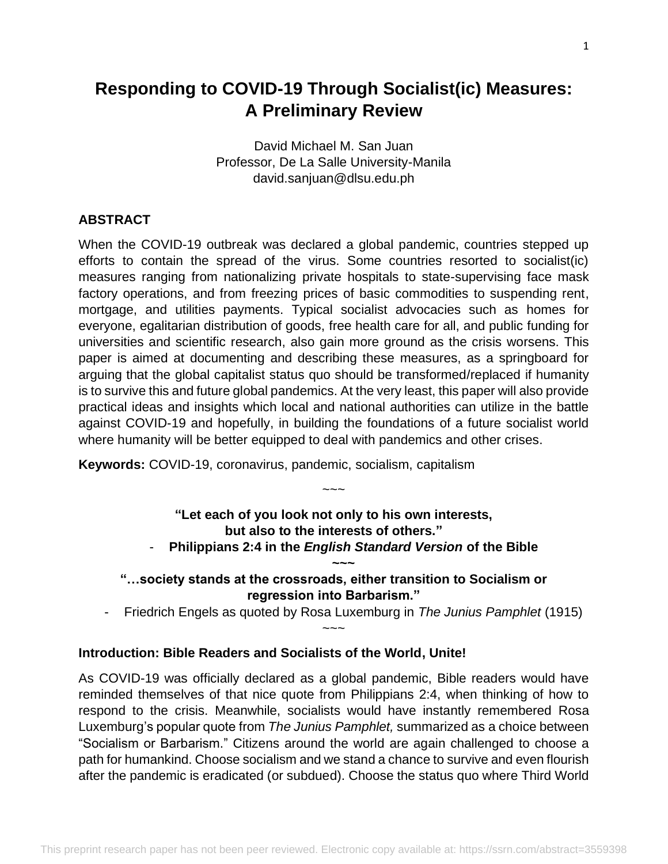# **Responding to COVID-19 Through Socialist(ic) Measures: A Preliminary Review**

David Michael M. San Juan Professor, De La Salle University-Manila david.sanjuan@dlsu.edu.ph

#### **ABSTRACT**

When the COVID-19 outbreak was declared a global pandemic, countries stepped up efforts to contain the spread of the virus. Some countries resorted to socialist(ic) measures ranging from nationalizing private hospitals to state-supervising face mask factory operations, and from freezing prices of basic commodities to suspending rent, mortgage, and utilities payments. Typical socialist advocacies such as homes for everyone, egalitarian distribution of goods, free health care for all, and public funding for universities and scientific research, also gain more ground as the crisis worsens. This paper is aimed at documenting and describing these measures, as a springboard for arguing that the global capitalist status quo should be transformed/replaced if humanity is to survive this and future global pandemics. At the very least, this paper will also provide practical ideas and insights which local and national authorities can utilize in the battle against COVID-19 and hopefully, in building the foundations of a future socialist world where humanity will be better equipped to deal with pandemics and other crises.

**Keywords:** COVID-19, coronavirus, pandemic, socialism, capitalism

# **"Let each of you look not only to his own interests, but also to the interests of others."**

 $\sim\sim\sim$ 

- **Philippians 2:4 in the** *English Standard Version* **of the Bible ~~~**

**"…society stands at the crossroads, either transition to Socialism or regression into Barbarism."**

 $\sim\sim\sim$ 

- Friedrich Engels as quoted by Rosa Luxemburg in *The Junius Pamphlet* (1915)

#### **Introduction: Bible Readers and Socialists of the World, Unite!**

As COVID-19 was officially declared as a global pandemic, Bible readers would have reminded themselves of that nice quote from Philippians 2:4, when thinking of how to respond to the crisis. Meanwhile, socialists would have instantly remembered Rosa Luxemburg's popular quote from *The Junius Pamphlet,* summarized as a choice between "Socialism or Barbarism." Citizens around the world are again challenged to choose a path for humankind. Choose socialism and we stand a chance to survive and even flourish after the pandemic is eradicated (or subdued). Choose the status quo where Third World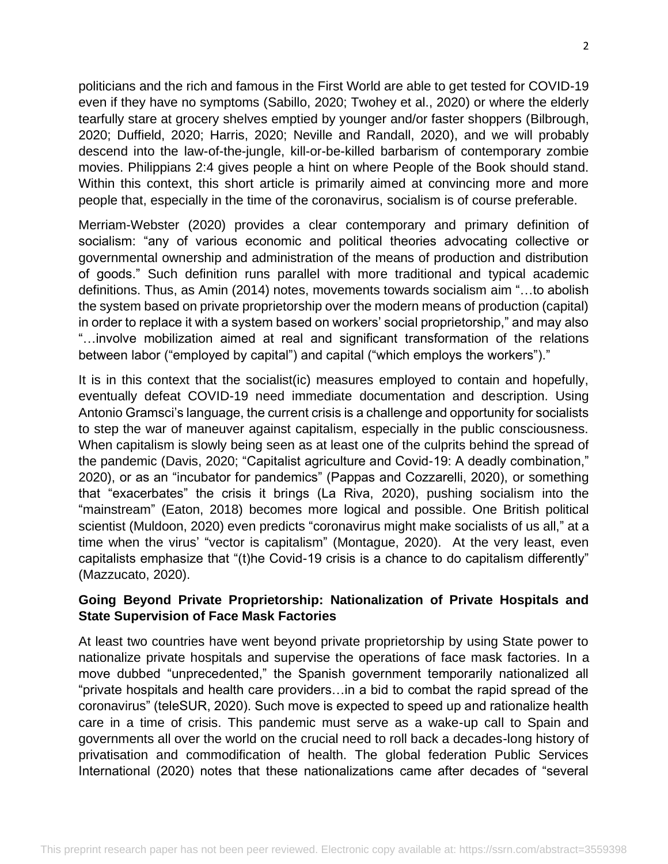politicians and the rich and famous in the First World are able to get tested for COVID-19 even if they have no symptoms (Sabillo, 2020; Twohey et al., 2020) or where the elderly tearfully stare at grocery shelves emptied by younger and/or faster shoppers (Bilbrough, 2020; Duffield, 2020; Harris, 2020; Neville and Randall, 2020), and we will probably descend into the law-of-the-jungle, kill-or-be-killed barbarism of contemporary zombie movies. Philippians 2:4 gives people a hint on where People of the Book should stand. Within this context, this short article is primarily aimed at convincing more and more people that, especially in the time of the coronavirus, socialism is of course preferable.

Merriam-Webster (2020) provides a clear contemporary and primary definition of socialism: "any of various economic and political theories advocating collective or governmental ownership and administration of the means of production and distribution of goods." Such definition runs parallel with more traditional and typical academic definitions. Thus, as Amin (2014) notes, movements towards socialism aim "…to abolish the system based on private proprietorship over the modern means of production (capital) in order to replace it with a system based on workers' social proprietorship," and may also "…involve mobilization aimed at real and significant transformation of the relations between labor ("employed by capital") and capital ("which employs the workers")."

It is in this context that the socialist(ic) measures employed to contain and hopefully, eventually defeat COVID-19 need immediate documentation and description. Using Antonio Gramsci's language, the current crisis is a challenge and opportunity for socialists to step the war of maneuver against capitalism, especially in the public consciousness. When capitalism is slowly being seen as at least one of the culprits behind the spread of the pandemic (Davis, 2020; "Capitalist agriculture and Covid-19: A deadly combination," 2020), or as an "incubator for pandemics" (Pappas and Cozzarelli, 2020), or something that "exacerbates" the crisis it brings (La Riva, 2020), pushing socialism into the "mainstream" (Eaton, 2018) becomes more logical and possible. One British political scientist (Muldoon, 2020) even predicts "coronavirus might make socialists of us all," at a time when the virus' "vector is capitalism" (Montague, 2020). At the very least, even capitalists emphasize that "(t)he Covid-19 crisis is a chance to do capitalism differently" (Mazzucato, 2020).

### **Going Beyond Private Proprietorship: Nationalization of Private Hospitals and State Supervision of Face Mask Factories**

At least two countries have went beyond private proprietorship by using State power to nationalize private hospitals and supervise the operations of face mask factories. In a move dubbed "unprecedented," the Spanish government temporarily nationalized all "private hospitals and health care providers…in a bid to combat the rapid spread of the coronavirus" (teleSUR, 2020). Such move is expected to speed up and rationalize health care in a time of crisis. This pandemic must serve as a wake-up call to Spain and governments all over the world on the crucial need to roll back a decades-long history of privatisation and commodification of health. The global federation Public Services International (2020) notes that these nationalizations came after decades of "several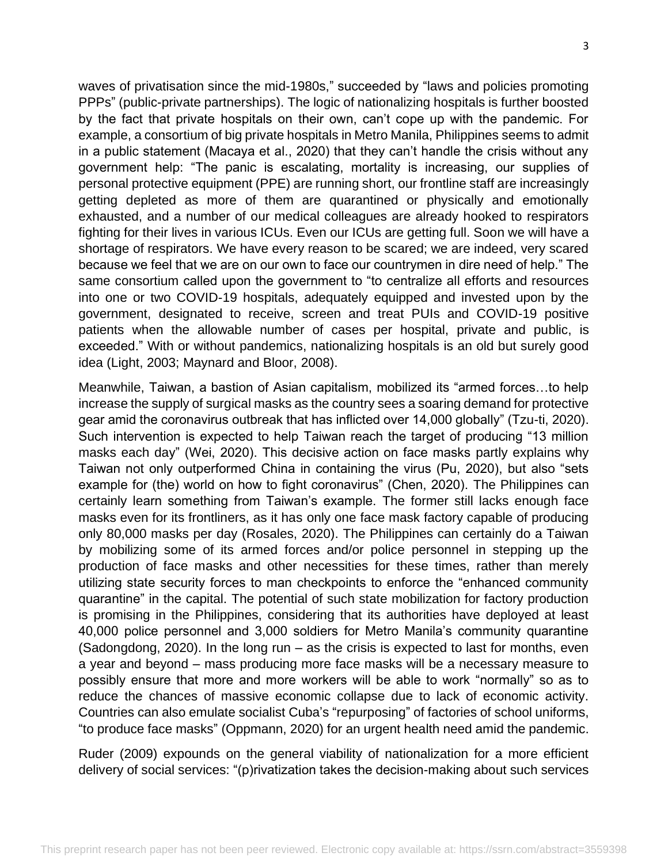waves of privatisation since the mid-1980s," succeeded by "laws and policies promoting PPPs" (public-private partnerships). The logic of nationalizing hospitals is further boosted by the fact that private hospitals on their own, can't cope up with the pandemic. For example, a consortium of big private hospitals in Metro Manila, Philippines seems to admit in a public statement (Macaya et al., 2020) that they can't handle the crisis without any government help: "The panic is escalating, mortality is increasing, our supplies of personal protective equipment (PPE) are running short, our frontline staff are increasingly getting depleted as more of them are quarantined or physically and emotionally exhausted, and a number of our medical colleagues are already hooked to respirators fighting for their lives in various ICUs. Even our ICUs are getting full. Soon we will have a shortage of respirators. We have every reason to be scared; we are indeed, very scared because we feel that we are on our own to face our countrymen in dire need of help." The same consortium called upon the government to "to centralize all efforts and resources into one or two COVID-19 hospitals, adequately equipped and invested upon by the government, designated to receive, screen and treat PUIs and COVID-19 positive patients when the allowable number of cases per hospital, private and public, is exceeded." With or without pandemics, nationalizing hospitals is an old but surely good idea (Light, 2003; Maynard and Bloor, 2008).

Meanwhile, Taiwan, a bastion of Asian capitalism, mobilized its "armed forces…to help increase the supply of surgical masks as the country sees a soaring demand for protective gear amid the coronavirus outbreak that has inflicted over 14,000 globally" (Tzu-ti, 2020). Such intervention is expected to help Taiwan reach the target of producing "13 million masks each day" (Wei, 2020). This decisive action on face masks partly explains why Taiwan not only outperformed China in containing the virus (Pu, 2020), but also "sets example for (the) world on how to fight coronavirus" (Chen, 2020). The Philippines can certainly learn something from Taiwan's example. The former still lacks enough face masks even for its frontliners, as it has only one face mask factory capable of producing only 80,000 masks per day (Rosales, 2020). The Philippines can certainly do a Taiwan by mobilizing some of its armed forces and/or police personnel in stepping up the production of face masks and other necessities for these times, rather than merely utilizing state security forces to man checkpoints to enforce the "enhanced community quarantine" in the capital. The potential of such state mobilization for factory production is promising in the Philippines, considering that its authorities have deployed at least 40,000 police personnel and 3,000 soldiers for Metro Manila's community quarantine (Sadongdong, 2020). In the long run – as the crisis is expected to last for months, even a year and beyond – mass producing more face masks will be a necessary measure to possibly ensure that more and more workers will be able to work "normally" so as to reduce the chances of massive economic collapse due to lack of economic activity. Countries can also emulate socialist Cuba's "repurposing" of factories of school uniforms, "to produce face masks" (Oppmann, 2020) for an urgent health need amid the pandemic.

Ruder (2009) expounds on the general viability of nationalization for a more efficient delivery of social services: "(p)rivatization takes the decision-making about such services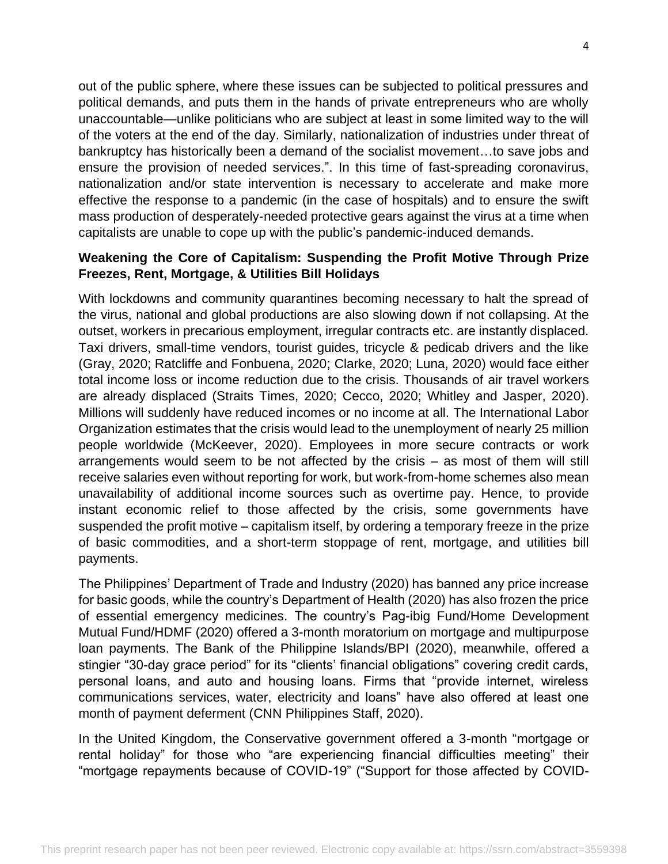out of the public sphere, where these issues can be subjected to political pressures and political demands, and puts them in the hands of private entrepreneurs who are wholly unaccountable—unlike politicians who are subject at least in some limited way to the will of the voters at the end of the day. Similarly, nationalization of industries under threat of bankruptcy has historically been a demand of the socialist movement…to save jobs and ensure the provision of needed services.". In this time of fast-spreading coronavirus, nationalization and/or state intervention is necessary to accelerate and make more effective the response to a pandemic (in the case of hospitals) and to ensure the swift mass production of desperately-needed protective gears against the virus at a time when capitalists are unable to cope up with the public's pandemic-induced demands.

### **Weakening the Core of Capitalism: Suspending the Profit Motive Through Prize Freezes, Rent, Mortgage, & Utilities Bill Holidays**

With lockdowns and community quarantines becoming necessary to halt the spread of the virus, national and global productions are also slowing down if not collapsing. At the outset, workers in precarious employment, irregular contracts etc. are instantly displaced. Taxi drivers, small-time vendors, tourist guides, tricycle & pedicab drivers and the like (Gray, 2020; Ratcliffe and Fonbuena, 2020; Clarke, 2020; Luna, 2020) would face either total income loss or income reduction due to the crisis. Thousands of air travel workers are already displaced (Straits Times, 2020; Cecco, 2020; Whitley and Jasper, 2020). Millions will suddenly have reduced incomes or no income at all. The International Labor Organization estimates that the crisis would lead to the unemployment of nearly 25 million people worldwide (McKeever, 2020). Employees in more secure contracts or work arrangements would seem to be not affected by the crisis – as most of them will still receive salaries even without reporting for work, but work-from-home schemes also mean unavailability of additional income sources such as overtime pay. Hence, to provide instant economic relief to those affected by the crisis, some governments have suspended the profit motive – capitalism itself, by ordering a temporary freeze in the prize of basic commodities, and a short-term stoppage of rent, mortgage, and utilities bill payments.

The Philippines' Department of Trade and Industry (2020) has banned any price increase for basic goods, while the country's Department of Health (2020) has also frozen the price of essential emergency medicines. The country's Pag-ibig Fund/Home Development Mutual Fund/HDMF (2020) offered a 3-month moratorium on mortgage and multipurpose loan payments. The Bank of the Philippine Islands/BPI (2020), meanwhile, offered a stingier "30-day grace period" for its "clients' financial obligations" covering credit cards, personal loans, and auto and housing loans. Firms that "provide internet, wireless communications services, water, electricity and loans" have also offered at least one month of payment deferment (CNN Philippines Staff, 2020).

In the United Kingdom, the Conservative government offered a 3-month "mortgage or rental holiday" for those who "are experiencing financial difficulties meeting" their "mortgage repayments because of COVID-19" ("Support for those affected by COVID-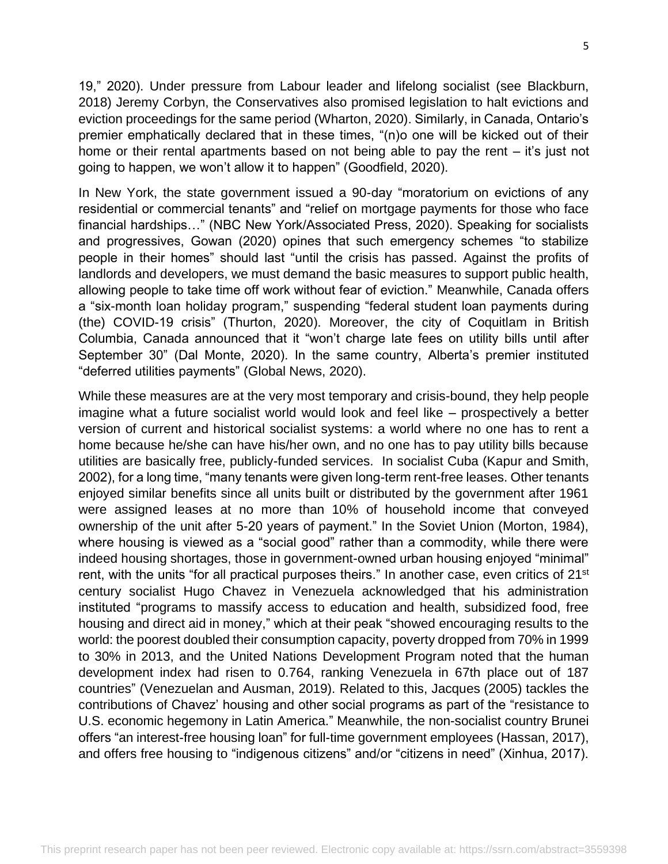19," 2020). Under pressure from Labour leader and lifelong socialist (see Blackburn, 2018) Jeremy Corbyn, the Conservatives also promised legislation to halt evictions and eviction proceedings for the same period (Wharton, 2020). Similarly, in Canada, Ontario's premier emphatically declared that in these times, "(n)o one will be kicked out of their home or their rental apartments based on not being able to pay the rent – it's just not going to happen, we won't allow it to happen" (Goodfield, 2020).

In New York, the state government issued a 90-day "moratorium on evictions of any residential or commercial tenants" and "relief on mortgage payments for those who face financial hardships…" (NBC New York/Associated Press, 2020). Speaking for socialists and progressives, Gowan (2020) opines that such emergency schemes "to stabilize people in their homes" should last "until the crisis has passed. Against the profits of landlords and developers, we must demand the basic measures to support public health, allowing people to take time off work without fear of eviction." Meanwhile, Canada offers a "six-month loan holiday program," suspending "federal student loan payments during (the) COVID-19 crisis" (Thurton, 2020). Moreover, the city of Coquitlam in British Columbia, Canada announced that it "won't charge late fees on utility bills until after September 30" (Dal Monte, 2020). In the same country, Alberta's premier instituted "deferred utilities payments" (Global News, 2020).

While these measures are at the very most temporary and crisis-bound, they help people imagine what a future socialist world would look and feel like – prospectively a better version of current and historical socialist systems: a world where no one has to rent a home because he/she can have his/her own, and no one has to pay utility bills because utilities are basically free, publicly-funded services. In socialist Cuba (Kapur and Smith, 2002), for a long time, "many tenants were given long-term rent-free leases. Other tenants enjoyed similar benefits since all units built or distributed by the government after 1961 were assigned leases at no more than 10% of household income that conveyed ownership of the unit after 5-20 years of payment." In the Soviet Union (Morton, 1984), where housing is viewed as a "social good" rather than a commodity, while there were indeed housing shortages, those in government-owned urban housing enjoyed "minimal" rent, with the units "for all practical purposes theirs." In another case, even critics of 21<sup>st</sup> century socialist Hugo Chavez in Venezuela acknowledged that his administration instituted "programs to massify access to education and health, subsidized food, free housing and direct aid in money," which at their peak "showed encouraging results to the world: the poorest doubled their consumption capacity, poverty dropped from 70% in 1999 to 30% in 2013, and the United Nations Development Program noted that the human development index had risen to 0.764, ranking Venezuela in 67th place out of 187 countries" (Venezuelan and Ausman, 2019). Related to this, Jacques (2005) tackles the contributions of Chavez' housing and other social programs as part of the "resistance to U.S. economic hegemony in Latin America." Meanwhile, the non-socialist country Brunei offers "an interest-free housing loan" for full-time government employees (Hassan, 2017), and offers free housing to "indigenous citizens" and/or "citizens in need" (Xinhua, 2017).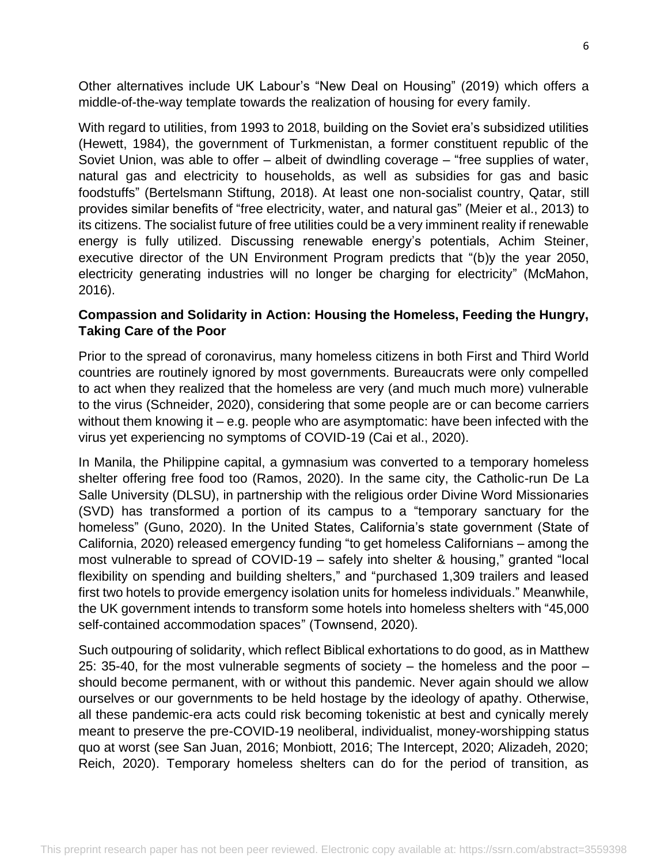Other alternatives include UK Labour's "New Deal on Housing" (2019) which offers a middle-of-the-way template towards the realization of housing for every family.

With regard to utilities, from 1993 to 2018, building on the Soviet era's subsidized utilities (Hewett, 1984), the government of Turkmenistan, a former constituent republic of the Soviet Union, was able to offer – albeit of dwindling coverage – "free supplies of water, natural gas and electricity to households, as well as subsidies for gas and basic foodstuffs" (Bertelsmann Stiftung, 2018). At least one non-socialist country, Qatar, still provides similar benefits of "free electricity, water, and natural gas" (Meier et al., 2013) to its citizens. The socialist future of free utilities could be a very imminent reality if renewable energy is fully utilized. Discussing renewable energy's potentials, Achim Steiner, executive director of the UN Environment Program predicts that "(b)y the year 2050, electricity generating industries will no longer be charging for electricity" (McMahon, 2016).

# **Compassion and Solidarity in Action: Housing the Homeless, Feeding the Hungry, Taking Care of the Poor**

Prior to the spread of coronavirus, many homeless citizens in both First and Third World countries are routinely ignored by most governments. Bureaucrats were only compelled to act when they realized that the homeless are very (and much much more) vulnerable to the virus (Schneider, 2020), considering that some people are or can become carriers without them knowing it – e.g. people who are asymptomatic: have been infected with the virus yet experiencing no symptoms of COVID-19 (Cai et al., 2020).

In Manila, the Philippine capital, a gymnasium was converted to a temporary homeless shelter offering free food too (Ramos, 2020). In the same city, the Catholic-run De La Salle University (DLSU), in partnership with the religious order Divine Word Missionaries (SVD) has transformed a portion of its campus to a "temporary sanctuary for the homeless" (Guno, 2020). In the United States, California's state government (State of California, 2020) released emergency funding "to get homeless Californians – among the most vulnerable to spread of COVID-19 – safely into shelter & housing," granted "local flexibility on spending and building shelters," and "purchased 1,309 trailers and leased first two hotels to provide emergency isolation units for homeless individuals." Meanwhile, the UK government intends to transform some hotels into homeless shelters with "45,000 self-contained accommodation spaces" (Townsend, 2020).

Such outpouring of solidarity, which reflect Biblical exhortations to do good, as in Matthew 25: 35-40, for the most vulnerable segments of society – the homeless and the poor – should become permanent, with or without this pandemic. Never again should we allow ourselves or our governments to be held hostage by the ideology of apathy. Otherwise, all these pandemic-era acts could risk becoming tokenistic at best and cynically merely meant to preserve the pre-COVID-19 neoliberal, individualist, money-worshipping status quo at worst (see San Juan, 2016; Monbiott, 2016; The Intercept, 2020; Alizadeh, 2020; Reich, 2020). Temporary homeless shelters can do for the period of transition, as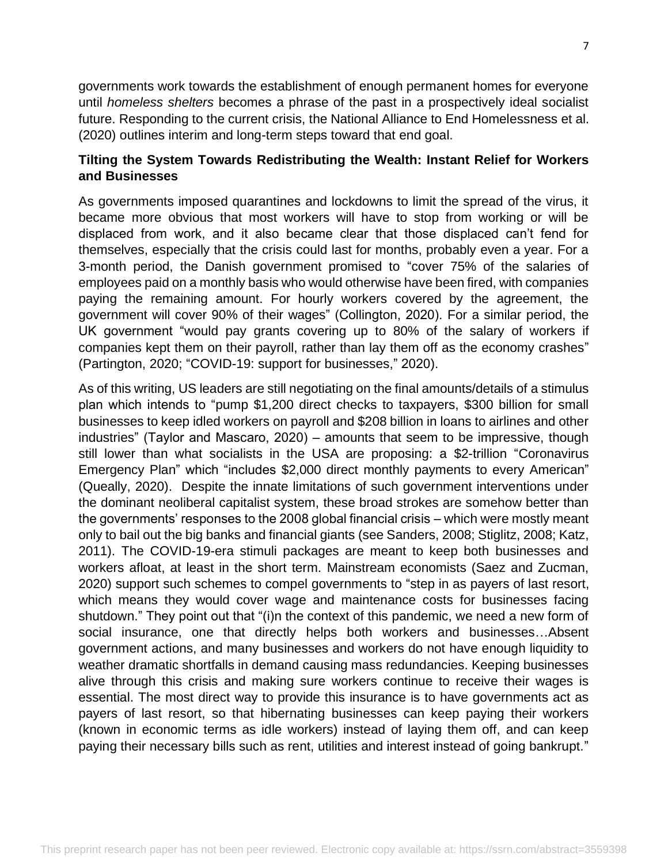governments work towards the establishment of enough permanent homes for everyone until *homeless shelters* becomes a phrase of the past in a prospectively ideal socialist future. Responding to the current crisis, the National Alliance to End Homelessness et al. (2020) outlines interim and long-term steps toward that end goal.

# **Tilting the System Towards Redistributing the Wealth: Instant Relief for Workers and Businesses**

As governments imposed quarantines and lockdowns to limit the spread of the virus, it became more obvious that most workers will have to stop from working or will be displaced from work, and it also became clear that those displaced can't fend for themselves, especially that the crisis could last for months, probably even a year. For a 3-month period, the Danish government promised to "cover 75% of the salaries of employees paid on a monthly basis who would otherwise have been fired, with companies paying the remaining amount. For hourly workers covered by the agreement, the government will cover 90% of their wages" (Collington, 2020). For a similar period, the UK government "would pay grants covering up to 80% of the salary of workers if companies kept them on their payroll, rather than lay them off as the economy crashes" (Partington, 2020; "COVID-19: support for businesses," 2020).

As of this writing, US leaders are still negotiating on the final amounts/details of a stimulus plan which intends to "pump \$1,200 direct checks to taxpayers, \$300 billion for small businesses to keep idled workers on payroll and \$208 billion in loans to airlines and other industries" (Taylor and Mascaro, 2020) – amounts that seem to be impressive, though still lower than what socialists in the USA are proposing: a \$2-trillion "Coronavirus Emergency Plan" which "includes \$2,000 direct monthly payments to every American" (Queally, 2020). Despite the innate limitations of such government interventions under the dominant neoliberal capitalist system, these broad strokes are somehow better than the governments' responses to the 2008 global financial crisis – which were mostly meant only to bail out the big banks and financial giants (see Sanders, 2008; Stiglitz, 2008; Katz, 2011). The COVID-19-era stimuli packages are meant to keep both businesses and workers afloat, at least in the short term. Mainstream economists (Saez and Zucman, 2020) support such schemes to compel governments to "step in as payers of last resort, which means they would cover wage and maintenance costs for businesses facing shutdown." They point out that "(i)n the context of this pandemic, we need a new form of social insurance, one that directly helps both workers and businesses…Absent government actions, and many businesses and workers do not have enough liquidity to weather dramatic shortfalls in demand causing mass redundancies. Keeping businesses alive through this crisis and making sure workers continue to receive their wages is essential. The most direct way to provide this insurance is to have governments act as payers of last resort, so that hibernating businesses can keep paying their workers (known in economic terms as idle workers) instead of laying them off, and can keep paying their necessary bills such as rent, utilities and interest instead of going bankrupt."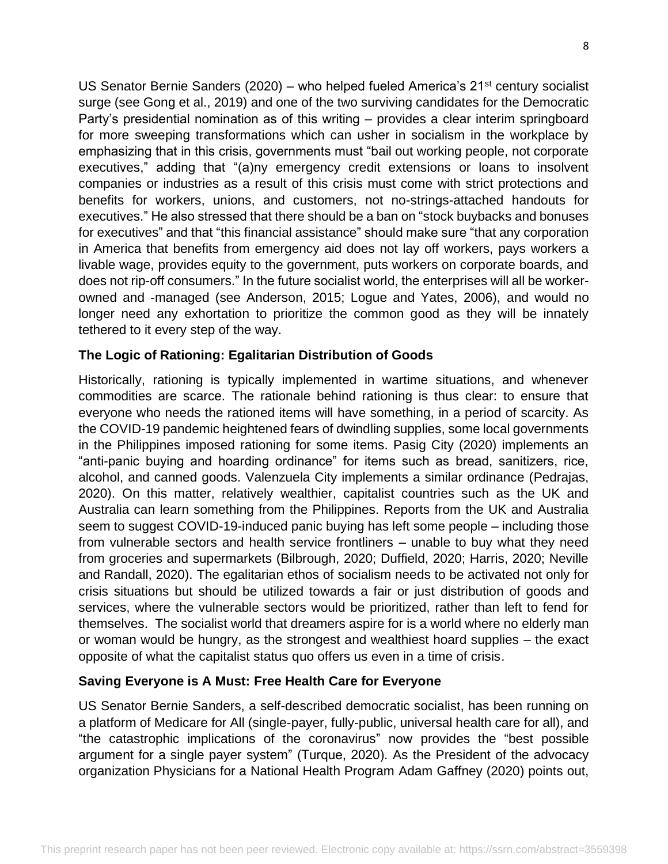US Senator Bernie Sanders (2020) – who helped fueled America's  $21^{st}$  century socialist surge (see Gong et al., 2019) and one of the two surviving candidates for the Democratic Party's presidential nomination as of this writing – provides a clear interim springboard for more sweeping transformations which can usher in socialism in the workplace by emphasizing that in this crisis, governments must "bail out working people, not corporate executives," adding that "(a)ny emergency credit extensions or loans to insolvent companies or industries as a result of this crisis must come with strict protections and benefits for workers, unions, and customers, not no-strings-attached handouts for executives." He also stressed that there should be a ban on "stock buybacks and bonuses for executives" and that "this financial assistance" should make sure "that any corporation in America that benefits from emergency aid does not lay off workers, pays workers a livable wage, provides equity to the government, puts workers on corporate boards, and does not rip-off consumers." In the future socialist world, the enterprises will all be workerowned and -managed (see Anderson, 2015; Logue and Yates, 2006), and would no longer need any exhortation to prioritize the common good as they will be innately tethered to it every step of the way.

#### **The Logic of Rationing: Egalitarian Distribution of Goods**

Historically, rationing is typically implemented in wartime situations, and whenever commodities are scarce. The rationale behind rationing is thus clear: to ensure that everyone who needs the rationed items will have something, in a period of scarcity. As the COVID-19 pandemic heightened fears of dwindling supplies, some local governments in the Philippines imposed rationing for some items. Pasig City (2020) implements an "anti-panic buying and hoarding ordinance" for items such as bread, sanitizers, rice, alcohol, and canned goods. Valenzuela City implements a similar ordinance (Pedrajas, 2020). On this matter, relatively wealthier, capitalist countries such as the UK and Australia can learn something from the Philippines. Reports from the UK and Australia seem to suggest COVID-19-induced panic buying has left some people – including those from vulnerable sectors and health service frontliners – unable to buy what they need from groceries and supermarkets (Bilbrough, 2020; Duffield, 2020; Harris, 2020; Neville and Randall, 2020). The egalitarian ethos of socialism needs to be activated not only for crisis situations but should be utilized towards a fair or just distribution of goods and services, where the vulnerable sectors would be prioritized, rather than left to fend for themselves. The socialist world that dreamers aspire for is a world where no elderly man or woman would be hungry, as the strongest and wealthiest hoard supplies – the exact opposite of what the capitalist status quo offers us even in a time of crisis.

#### **Saving Everyone is A Must: Free Health Care for Everyone**

US Senator Bernie Sanders, a self-described democratic socialist, has been running on a platform of Medicare for All (single-payer, fully-public, universal health care for all), and "the catastrophic implications of the coronavirus" now provides the "best possible argument for a single payer system" (Turque, 2020). As the President of the advocacy organization Physicians for a National Health Program Adam Gaffney (2020) points out,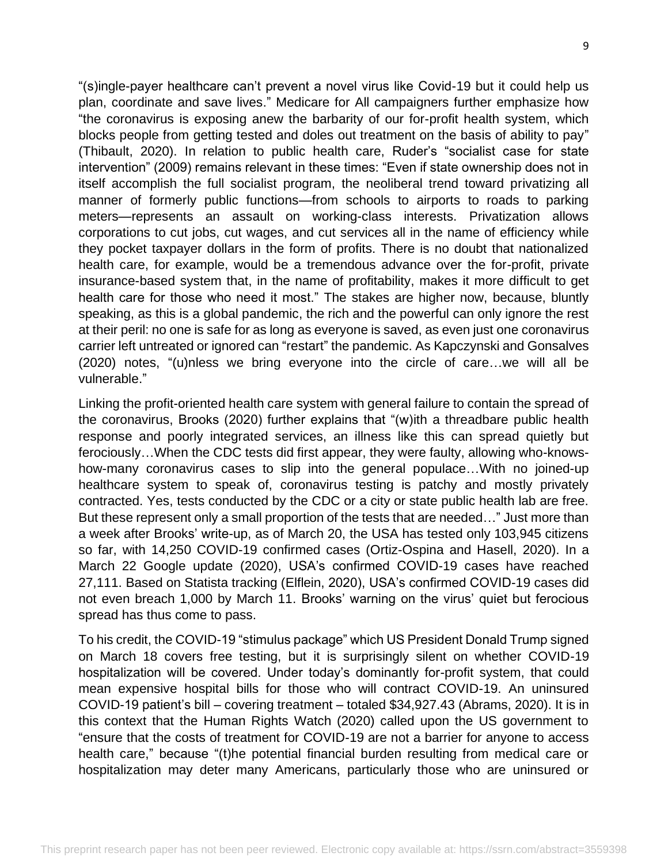"(s)ingle-payer healthcare can't prevent a novel virus like Covid-19 but it could help us plan, coordinate and save lives." Medicare for All campaigners further emphasize how "the coronavirus is exposing anew the barbarity of our for-profit health system, which blocks people from getting tested and doles out treatment on the basis of ability to pay" (Thibault, 2020). In relation to public health care, Ruder's "socialist case for state intervention" (2009) remains relevant in these times: "Even if state ownership does not in itself accomplish the full socialist program, the neoliberal trend toward privatizing all manner of formerly public functions—from schools to airports to roads to parking meters—represents an assault on working-class interests. Privatization allows corporations to cut jobs, cut wages, and cut services all in the name of efficiency while they pocket taxpayer dollars in the form of profits. There is no doubt that nationalized health care, for example, would be a tremendous advance over the for-profit, private insurance-based system that, in the name of profitability, makes it more difficult to get health care for those who need it most." The stakes are higher now, because, bluntly speaking, as this is a global pandemic, the rich and the powerful can only ignore the rest at their peril: no one is safe for as long as everyone is saved, as even just one coronavirus carrier left untreated or ignored can "restart" the pandemic. As Kapczynski and Gonsalves (2020) notes, "(u)nless we bring everyone into the circle of care…we will all be vulnerable."

Linking the profit-oriented health care system with general failure to contain the spread of the coronavirus, Brooks (2020) further explains that "(w)ith a threadbare public health response and poorly integrated services, an illness like this can spread quietly but ferociously…When the CDC tests did first appear, they were faulty, allowing who-knowshow-many coronavirus cases to slip into the general populace…With no joined-up healthcare system to speak of, coronavirus testing is patchy and mostly privately contracted. Yes, tests conducted by the CDC or a city or state public health lab are free. But these represent only a small proportion of the tests that are needed…" Just more than a week after Brooks' write-up, as of March 20, the USA has tested only 103,945 citizens so far, with 14,250 COVID-19 confirmed cases (Ortiz-Ospina and Hasell, 2020). In a March 22 Google update (2020), USA's confirmed COVID-19 cases have reached 27,111. Based on Statista tracking (Elflein, 2020), USA's confirmed COVID-19 cases did not even breach 1,000 by March 11. Brooks' warning on the virus' quiet but ferocious spread has thus come to pass.

To his credit, the COVID-19 "stimulus package" which US President Donald Trump signed on March 18 covers free testing, but it is surprisingly silent on whether COVID-19 hospitalization will be covered. Under today's dominantly for-profit system, that could mean expensive hospital bills for those who will contract COVID-19. An uninsured COVID-19 patient's bill – covering treatment – totaled \$34,927.43 (Abrams, 2020). It is in this context that the Human Rights Watch (2020) called upon the US government to "ensure that the costs of treatment for COVID-19 are not a barrier for anyone to access health care," because "(t)he potential financial burden resulting from medical care or hospitalization may deter many Americans, particularly those who are uninsured or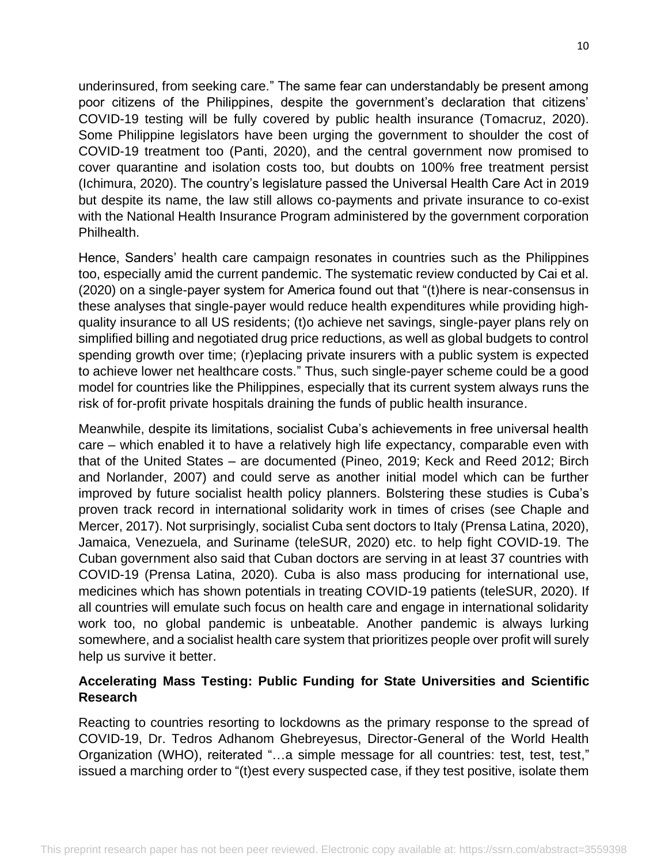underinsured, from seeking care." The same fear can understandably be present among poor citizens of the Philippines, despite the government's declaration that citizens' COVID-19 testing will be fully covered by public health insurance (Tomacruz, 2020). Some Philippine legislators have been urging the government to shoulder the cost of COVID-19 treatment too (Panti, 2020), and the central government now promised to cover quarantine and isolation costs too, but doubts on 100% free treatment persist (Ichimura, 2020). The country's legislature passed the Universal Health Care Act in 2019 but despite its name, the law still allows co-payments and private insurance to co-exist with the National Health Insurance Program administered by the government corporation Philhealth.

Hence, Sanders' health care campaign resonates in countries such as the Philippines too, especially amid the current pandemic. The systematic review conducted by Cai et al. (2020) on a single-payer system for America found out that "(t)here is near-consensus in these analyses that single-payer would reduce health expenditures while providing highquality insurance to all US residents; (t)o achieve net savings, single-payer plans rely on simplified billing and negotiated drug price reductions, as well as global budgets to control spending growth over time; (r)eplacing private insurers with a public system is expected to achieve lower net healthcare costs." Thus, such single-payer scheme could be a good model for countries like the Philippines, especially that its current system always runs the risk of for-profit private hospitals draining the funds of public health insurance.

Meanwhile, despite its limitations, socialist Cuba's achievements in free universal health care – which enabled it to have a relatively high life expectancy, comparable even with that of the United States – are documented (Pineo, 2019; Keck and Reed 2012; Birch and Norlander, 2007) and could serve as another initial model which can be further improved by future socialist health policy planners. Bolstering these studies is Cuba's proven track record in international solidarity work in times of crises (see Chaple and Mercer, 2017). Not surprisingly, socialist Cuba sent doctors to Italy (Prensa Latina, 2020), Jamaica, Venezuela, and Suriname (teleSUR, 2020) etc. to help fight COVID-19. The Cuban government also said that Cuban doctors are serving in at least 37 countries with COVID-19 (Prensa Latina, 2020). Cuba is also mass producing for international use, medicines which has shown potentials in treating COVID-19 patients (teleSUR, 2020). If all countries will emulate such focus on health care and engage in international solidarity work too, no global pandemic is unbeatable. Another pandemic is always lurking somewhere, and a socialist health care system that prioritizes people over profit will surely help us survive it better.

### **Accelerating Mass Testing: Public Funding for State Universities and Scientific Research**

Reacting to countries resorting to lockdowns as the primary response to the spread of COVID-19, Dr. Tedros Adhanom Ghebreyesus, Director-General of the World Health Organization (WHO), reiterated "…a simple message for all countries: test, test, test," issued a marching order to "(t)est every suspected case, if they test positive, isolate them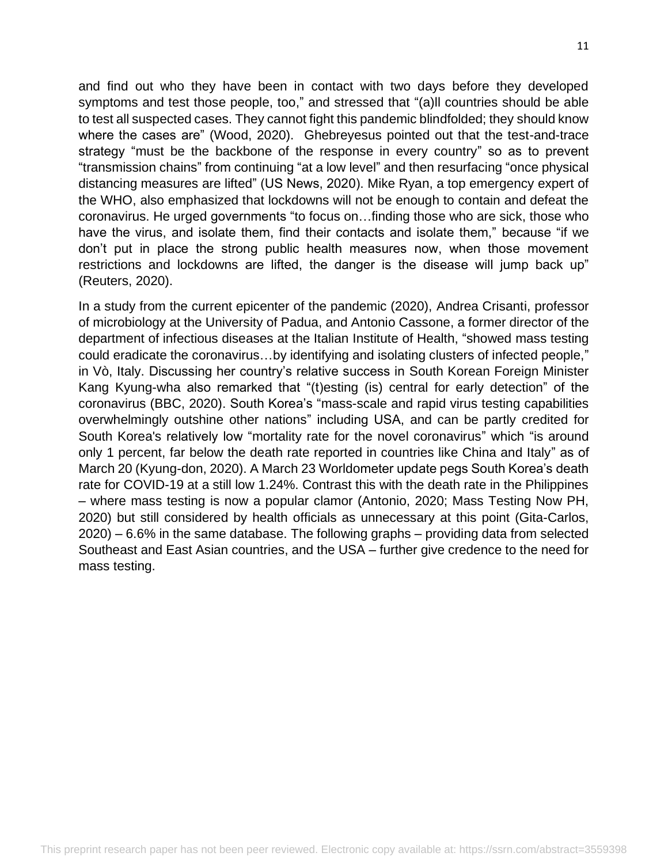and find out who they have been in contact with two days before they developed symptoms and test those people, too," and stressed that "(a)ll countries should be able to test all suspected cases. They cannot fight this pandemic blindfolded; they should know where the cases are" (Wood, 2020). Ghebreyesus pointed out that the test-and-trace strategy "must be the backbone of the response in every country" so as to prevent "transmission chains" from continuing "at a low level" and then resurfacing "once physical distancing measures are lifted" (US News, 2020). Mike Ryan, a top emergency expert of the WHO, also emphasized that lockdowns will not be enough to contain and defeat the coronavirus. He urged governments "to focus on…finding those who are sick, those who have the virus, and isolate them, find their contacts and isolate them," because "if we don't put in place the strong public health measures now, when those movement restrictions and lockdowns are lifted, the danger is the disease will jump back up" (Reuters, 2020).

In a study from the current epicenter of the pandemic (2020), Andrea Crisanti, professor of microbiology at the University of Padua, and Antonio Cassone, a former director of the department of infectious diseases at the Italian Institute of Health, "showed mass testing could eradicate the coronavirus…by identifying and isolating clusters of infected people," in Vò, Italy. Discussing her country's relative success in South Korean Foreign Minister Kang Kyung-wha also remarked that "(t)esting (is) central for early detection" of the coronavirus (BBC, 2020). South Korea's "mass-scale and rapid virus testing capabilities overwhelmingly outshine other nations" including USA, and can be partly credited for South Korea's relatively low "mortality rate for the novel coronavirus" which "is around only 1 percent, far below the death rate reported in countries like China and Italy" as of March 20 (Kyung-don, 2020). A March 23 Worldometer update pegs South Korea's death rate for COVID-19 at a still low 1.24%. Contrast this with the death rate in the Philippines – where mass testing is now a popular clamor (Antonio, 2020; Mass Testing Now PH, 2020) but still considered by health officials as unnecessary at this point (Gita-Carlos, 2020) – 6.6% in the same database. The following graphs – providing data from selected Southeast and East Asian countries, and the USA – further give credence to the need for mass testing.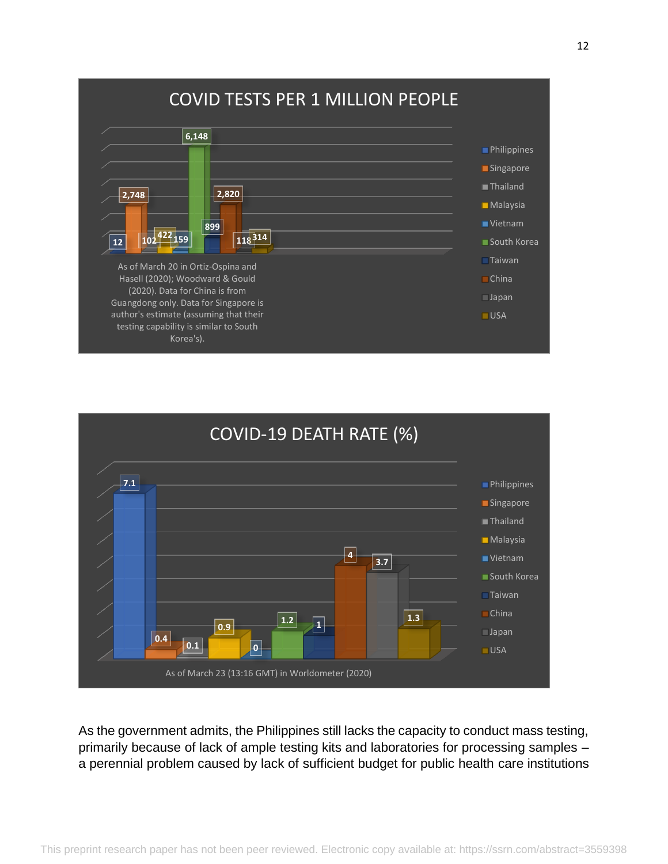



As the government admits, the Philippines still lacks the capacity to conduct mass testing, primarily because of lack of ample testing kits and laboratories for processing samples – a perennial problem caused by lack of sufficient budget for public health care institutions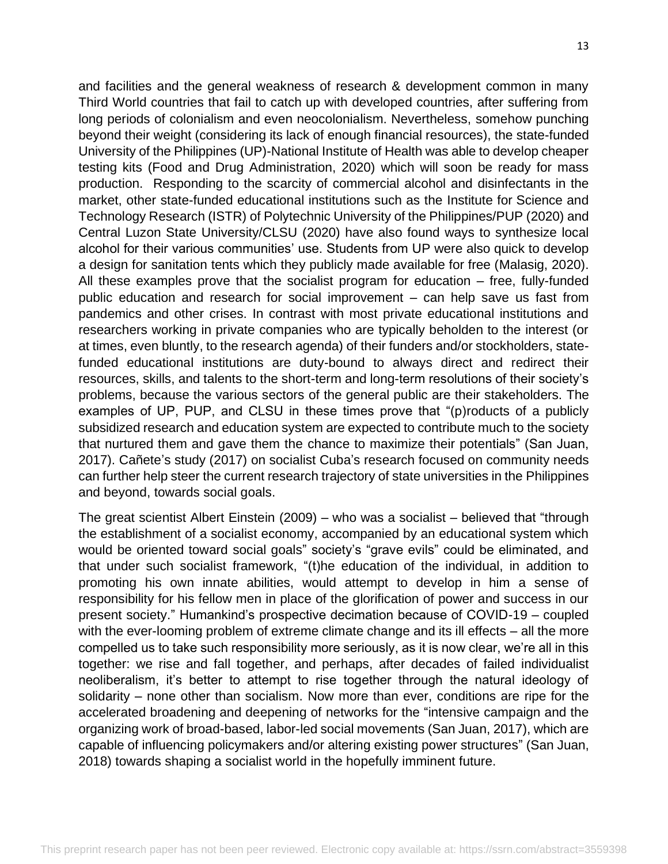and facilities and the general weakness of research & development common in many Third World countries that fail to catch up with developed countries, after suffering from long periods of colonialism and even neocolonialism. Nevertheless, somehow punching beyond their weight (considering its lack of enough financial resources), the state-funded University of the Philippines (UP)-National Institute of Health was able to develop cheaper testing kits (Food and Drug Administration, 2020) which will soon be ready for mass production. Responding to the scarcity of commercial alcohol and disinfectants in the market, other state-funded educational institutions such as the Institute for Science and Technology Research (ISTR) of Polytechnic University of the Philippines/PUP (2020) and Central Luzon State University/CLSU (2020) have also found ways to synthesize local alcohol for their various communities' use. Students from UP were also quick to develop a design for sanitation tents which they publicly made available for free (Malasig, 2020). All these examples prove that the socialist program for education – free, fully-funded public education and research for social improvement – can help save us fast from pandemics and other crises. In contrast with most private educational institutions and researchers working in private companies who are typically beholden to the interest (or at times, even bluntly, to the research agenda) of their funders and/or stockholders, statefunded educational institutions are duty-bound to always direct and redirect their resources, skills, and talents to the short-term and long-term resolutions of their society's problems, because the various sectors of the general public are their stakeholders. The examples of UP, PUP, and CLSU in these times prove that "(p)roducts of a publicly subsidized research and education system are expected to contribute much to the society that nurtured them and gave them the chance to maximize their potentials" (San Juan, 2017). Cañete's study (2017) on socialist Cuba's research focused on community needs can further help steer the current research trajectory of state universities in the Philippines and beyond, towards social goals.

The great scientist Albert Einstein (2009) – who was a socialist – believed that "through the establishment of a socialist economy, accompanied by an educational system which would be oriented toward social goals" society's "grave evils" could be eliminated, and that under such socialist framework, "(t)he education of the individual, in addition to promoting his own innate abilities, would attempt to develop in him a sense of responsibility for his fellow men in place of the glorification of power and success in our present society." Humankind's prospective decimation because of COVID-19 – coupled with the ever-looming problem of extreme climate change and its ill effects – all the more compelled us to take such responsibility more seriously, as it is now clear, we're all in this together: we rise and fall together, and perhaps, after decades of failed individualist neoliberalism, it's better to attempt to rise together through the natural ideology of solidarity – none other than socialism. Now more than ever, conditions are ripe for the accelerated broadening and deepening of networks for the "intensive campaign and the organizing work of broad-based, labor-led social movements (San Juan, 2017), which are capable of influencing policymakers and/or altering existing power structures" (San Juan, 2018) towards shaping a socialist world in the hopefully imminent future.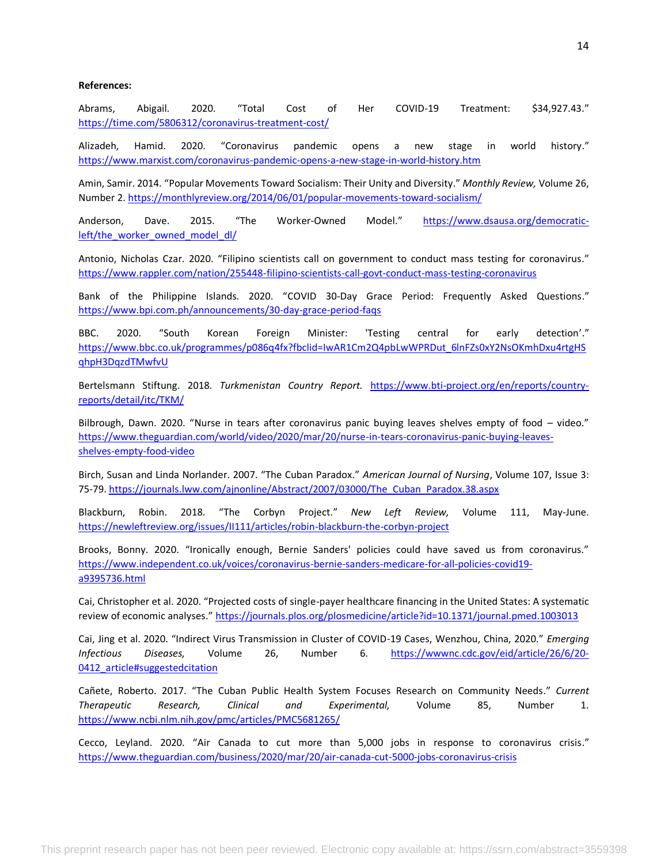#### **References:**

Abrams, Abigail. 2020. "Total Cost of Her COVID-19 Treatment: \$34,927.43." <https://time.com/5806312/coronavirus-treatment-cost/>

Alizadeh, Hamid. 2020. "Coronavirus pandemic opens a new stage in world history." <https://www.marxist.com/coronavirus-pandemic-opens-a-new-stage-in-world-history.htm>

Amin, Samir. 2014. "Popular Movements Toward Socialism: Their Unity and Diversity." *Monthly Review,* Volume 26, Number 2[. https://monthlyreview.org/2014/06/01/popular-movements-toward-socialism/](https://monthlyreview.org/2014/06/01/popular-movements-toward-socialism/)

Anderson, Dave. 2015. "The Worker-Owned Model." [https://www.dsausa.org/democratic](https://www.dsausa.org/democratic-left/the_worker_owned_model_dl/)[left/the\\_worker\\_owned\\_model\\_dl/](https://www.dsausa.org/democratic-left/the_worker_owned_model_dl/)

Antonio, Nicholas Czar. 2020. "Filipino scientists call on government to conduct mass testing for coronavirus." <https://www.rappler.com/nation/255448-filipino-scientists-call-govt-conduct-mass-testing-coronavirus>

Bank of the Philippine Islands. 2020. "COVID 30-Day Grace Period: Frequently Asked Questions." <https://www.bpi.com.ph/announcements/30-day-grace-period-faqs>

BBC. 2020. "South Korean Foreign Minister: 'Testing central for early detection'." [https://www.bbc.co.uk/programmes/p086q4fx?fbclid=IwAR1Cm2Q4pbLwWPRDut\\_6lnFZs0xY2NsOKmhDxu4rtgHS](https://www.bbc.co.uk/programmes/p086q4fx?fbclid=IwAR1Cm2Q4pbLwWPRDut_6lnFZs0xY2NsOKmhDxu4rtgHSqhpH3DqzdTMwfvU) [qhpH3DqzdTMwfvU](https://www.bbc.co.uk/programmes/p086q4fx?fbclid=IwAR1Cm2Q4pbLwWPRDut_6lnFZs0xY2NsOKmhDxu4rtgHSqhpH3DqzdTMwfvU)

Bertelsmann Stiftung. 2018. *Turkmenistan Country Report.* [https://www.bti-project.org/en/reports/country](https://www.bti-project.org/en/reports/country-reports/detail/itc/TKM/)[reports/detail/itc/TKM/](https://www.bti-project.org/en/reports/country-reports/detail/itc/TKM/)

Bilbrough, Dawn. 2020. "Nurse in tears after coronavirus panic buying leaves shelves empty of food – video." [https://www.theguardian.com/world/video/2020/mar/20/nurse-in-tears-coronavirus-panic-buying-leaves](https://www.theguardian.com/world/video/2020/mar/20/nurse-in-tears-coronavirus-panic-buying-leaves-shelves-empty-food-video)[shelves-empty-food-video](https://www.theguardian.com/world/video/2020/mar/20/nurse-in-tears-coronavirus-panic-buying-leaves-shelves-empty-food-video)

Birch, Susan and Linda Norlander. 2007. "The Cuban Paradox." *American Journal of Nursing*, Volume 107, Issue 3: 75-79. [https://journals.lww.com/ajnonline/Abstract/2007/03000/The\\_Cuban\\_Paradox.38.aspx](https://journals.lww.com/ajnonline/Abstract/2007/03000/The_Cuban_Paradox.38.aspx)

Blackburn, Robin. 2018. "The Corbyn Project." *New Left Review,* Volume 111, May-June. <https://newleftreview.org/issues/II111/articles/robin-blackburn-the-corbyn-project>

Brooks, Bonny. 2020. "Ironically enough, Bernie Sanders' policies could have saved us from coronavirus." [https://www.independent.co.uk/voices/coronavirus-bernie-sanders-medicare-for-all-policies-covid19](https://www.independent.co.uk/voices/coronavirus-bernie-sanders-medicare-for-all-policies-covid19-a9395736.html) [a9395736.html](https://www.independent.co.uk/voices/coronavirus-bernie-sanders-medicare-for-all-policies-covid19-a9395736.html)

Cai, Christopher et al. 2020. "Projected costs of single-payer healthcare financing in the United States: A systematic review of economic analyses." <https://journals.plos.org/plosmedicine/article?id=10.1371/journal.pmed.1003013>

Cai, Jing et al. 2020. "Indirect Virus Transmission in Cluster of COVID-19 Cases, Wenzhou, China, 2020." *Emerging Infectious Diseases,* Volume 26, Number 6. [https://wwwnc.cdc.gov/eid/article/26/6/20-](https://wwwnc.cdc.gov/eid/article/26/6/20-0412_article#suggestedcitation) 0412 article#suggestedcitation

Cañete, Roberto. 2017. "The Cuban Public Health System Focuses Research on Community Needs." *Current Therapeutic Research, Clinical and Experimental,* Volume 85, Number 1. <https://www.ncbi.nlm.nih.gov/pmc/articles/PMC5681265/>

Cecco, Leyland. 2020. "Air Canada to cut more than 5,000 jobs in response to coronavirus crisis." <https://www.theguardian.com/business/2020/mar/20/air-canada-cut-5000-jobs-coronavirus-crisis>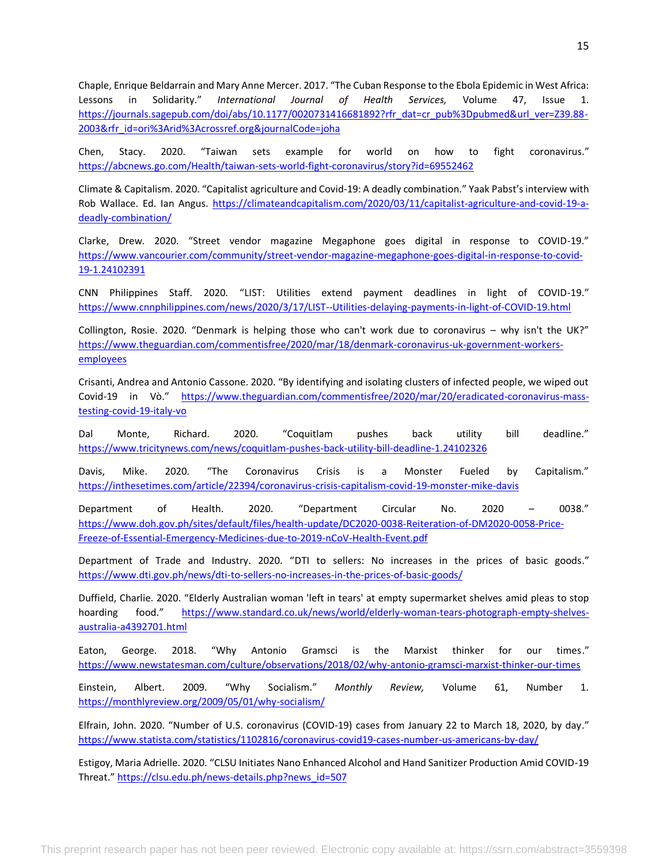Chaple, Enrique Beldarrain and Mary Anne Mercer. 2017. "The Cuban Response to the Ebola Epidemic in West Africa: Lessons in Solidarity." *International Journal of Health Services,* Volume 47, Issue 1. [https://journals.sagepub.com/doi/abs/10.1177/0020731416681892?rfr\\_dat=cr\\_pub%3Dpubmed&url\\_ver=Z39.88-](https://journals.sagepub.com/doi/abs/10.1177/0020731416681892?rfr_dat=cr_pub%3Dpubmed&url_ver=Z39.88-2003&rfr_id=ori%3Arid%3Acrossref.org&journalCode=joha) [2003&rfr\\_id=ori%3Arid%3Acrossref.org&journalCode=joha](https://journals.sagepub.com/doi/abs/10.1177/0020731416681892?rfr_dat=cr_pub%3Dpubmed&url_ver=Z39.88-2003&rfr_id=ori%3Arid%3Acrossref.org&journalCode=joha)

Chen, Stacy. 2020. "Taiwan sets example for world on how to fight coronavirus." <https://abcnews.go.com/Health/taiwan-sets-world-fight-coronavirus/story?id=69552462>

Climate & Capitalism. 2020. "Capitalist agriculture and Covid-19: A deadly combination." Yaak Pabst's interview with Rob Wallace. Ed. Ian Angus. [https://climateandcapitalism.com/2020/03/11/capitalist-agriculture-and-covid-19-a](https://climateandcapitalism.com/2020/03/11/capitalist-agriculture-and-covid-19-a-deadly-combination/)[deadly-combination/](https://climateandcapitalism.com/2020/03/11/capitalist-agriculture-and-covid-19-a-deadly-combination/)

Clarke, Drew. 2020. "Street vendor magazine Megaphone goes digital in response to COVID-19." [https://www.vancourier.com/community/street-vendor-magazine-megaphone-goes-digital-in-response-to-covid-](https://www.vancourier.com/community/street-vendor-magazine-megaphone-goes-digital-in-response-to-covid-19-1.24102391)[19-1.24102391](https://www.vancourier.com/community/street-vendor-magazine-megaphone-goes-digital-in-response-to-covid-19-1.24102391)

CNN Philippines Staff. 2020. "LIST: Utilities extend payment deadlines in light of COVID-19." <https://www.cnnphilippines.com/news/2020/3/17/LIST--Utilities-delaying-payments-in-light-of-COVID-19.html>

Collington, Rosie. 2020. "Denmark is helping those who can't work due to coronavirus – why isn't the UK?" [https://www.theguardian.com/commentisfree/2020/mar/18/denmark-coronavirus-uk-government-workers](https://www.theguardian.com/commentisfree/2020/mar/18/denmark-coronavirus-uk-government-workers-employees)[employees](https://www.theguardian.com/commentisfree/2020/mar/18/denmark-coronavirus-uk-government-workers-employees)

Crisanti, Andrea and Antonio Cassone. 2020. "By identifying and isolating clusters of infected people, we wiped out Covid-19 in Vò." [https://www.theguardian.com/commentisfree/2020/mar/20/eradicated-coronavirus-mass](https://www.theguardian.com/commentisfree/2020/mar/20/eradicated-coronavirus-mass-testing-covid-19-italy-vo)[testing-covid-19-italy-vo](https://www.theguardian.com/commentisfree/2020/mar/20/eradicated-coronavirus-mass-testing-covid-19-italy-vo)

Dal Monte, Richard. 2020. "Coquitlam pushes back utility bill deadline." <https://www.tricitynews.com/news/coquitlam-pushes-back-utility-bill-deadline-1.24102326>

Davis, Mike. 2020. "The Coronavirus Crisis is a Monster Fueled by Capitalism." <https://inthesetimes.com/article/22394/coronavirus-crisis-capitalism-covid-19-monster-mike-davis>

Department of Health. 2020. "Department Circular No. 2020 – 0038." [https://www.doh.gov.ph/sites/default/files/health-update/DC2020-0038-Reiteration-of-DM2020-0058-Price-](https://www.doh.gov.ph/sites/default/files/health-update/DC2020-0038-Reiteration-of-DM2020-0058-Price-Freeze-of-Essential-Emergency-Medicines-due-to-2019-nCoV-Health-Event.pdf)[Freeze-of-Essential-Emergency-Medicines-due-to-2019-nCoV-Health-Event.pdf](https://www.doh.gov.ph/sites/default/files/health-update/DC2020-0038-Reiteration-of-DM2020-0058-Price-Freeze-of-Essential-Emergency-Medicines-due-to-2019-nCoV-Health-Event.pdf)

Department of Trade and Industry. 2020. "DTI to sellers: No increases in the prices of basic goods." <https://www.dti.gov.ph/news/dti-to-sellers-no-increases-in-the-prices-of-basic-goods/>

Duffield, Charlie. 2020. "Elderly Australian woman 'left in tears' at empty supermarket shelves amid pleas to stop hoarding food." [https://www.standard.co.uk/news/world/elderly-woman-tears-photograph-empty-shelves](https://www.standard.co.uk/news/world/elderly-woman-tears-photograph-empty-shelves-australia-a4392701.html)[australia-a4392701.html](https://www.standard.co.uk/news/world/elderly-woman-tears-photograph-empty-shelves-australia-a4392701.html)

Eaton, George. 2018. "Why Antonio Gramsci is the Marxist thinker for our times." <https://www.newstatesman.com/culture/observations/2018/02/why-antonio-gramsci-marxist-thinker-our-times>

Einstein, Albert. 2009. "Why Socialism." *Monthly Review,* Volume 61, Number 1. <https://monthlyreview.org/2009/05/01/why-socialism/>

Elfrain, John. 2020. "Number of U.S. coronavirus (COVID-19) cases from January 22 to March 18, 2020, by day." <https://www.statista.com/statistics/1102816/coronavirus-covid19-cases-number-us-americans-by-day/>

Estigoy, Maria Adrielle. 2020. "CLSU Initiates Nano Enhanced Alcohol and Hand Sanitizer Production Amid COVID-19 Threat." [https://clsu.edu.ph/news-details.php?news\\_id=507](https://clsu.edu.ph/news-details.php?news_id=507)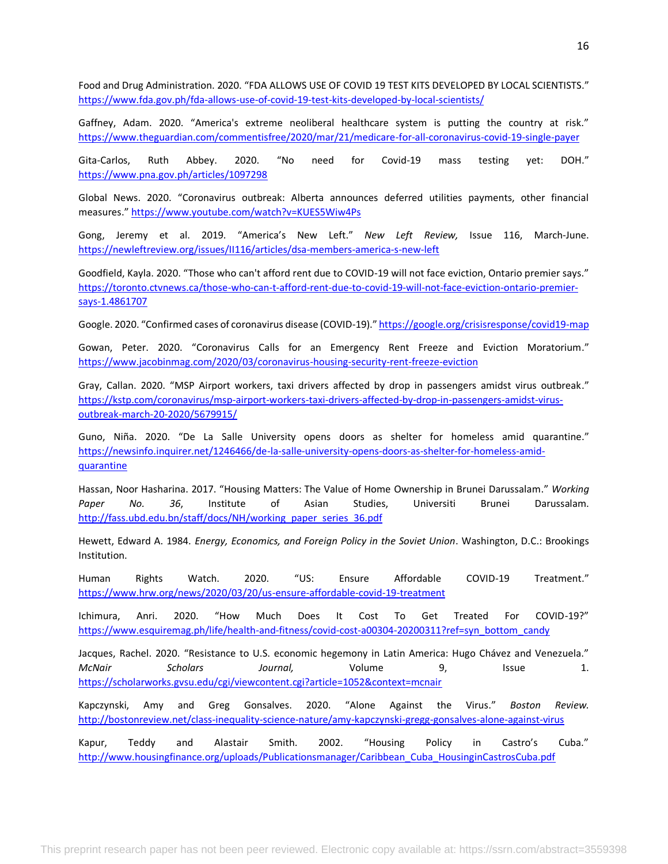Food and Drug Administration. 2020. "FDA ALLOWS USE OF COVID 19 TEST KITS DEVELOPED BY LOCAL SCIENTISTS." <https://www.fda.gov.ph/fda-allows-use-of-covid-19-test-kits-developed-by-local-scientists/>

Gaffney, Adam. 2020. "America's extreme neoliberal healthcare system is putting the country at risk." <https://www.theguardian.com/commentisfree/2020/mar/21/medicare-for-all-coronavirus-covid-19-single-payer>

Gita-Carlos, Ruth Abbey. 2020. "No need for Covid-19 mass testing yet: DOH." <https://www.pna.gov.ph/articles/1097298>

Global News. 2020. "Coronavirus outbreak: Alberta announces deferred utilities payments, other financial measures." <https://www.youtube.com/watch?v=KUES5Wiw4Ps>

Gong, Jeremy et al. 2019. "America's New Left." *New Left Review,* Issue 116, March-June. <https://newleftreview.org/issues/II116/articles/dsa-members-america-s-new-left>

Goodfield, Kayla. 2020. "Those who can't afford rent due to COVID-19 will not face eviction, Ontario premier says." [https://toronto.ctvnews.ca/those-who-can-t-afford-rent-due-to-covid-19-will-not-face-eviction-ontario-premier](https://toronto.ctvnews.ca/those-who-can-t-afford-rent-due-to-covid-19-will-not-face-eviction-ontario-premier-says-1.4861707)[says-1.4861707](https://toronto.ctvnews.ca/those-who-can-t-afford-rent-due-to-covid-19-will-not-face-eviction-ontario-premier-says-1.4861707)

Google. 2020. "Confirmed cases of coronavirus disease (COVID-19)." <https://google.org/crisisresponse/covid19-map>

Gowan, Peter. 2020. "Coronavirus Calls for an Emergency Rent Freeze and Eviction Moratorium." <https://www.jacobinmag.com/2020/03/coronavirus-housing-security-rent-freeze-eviction>

Gray, Callan. 2020. "MSP Airport workers, taxi drivers affected by drop in passengers amidst virus outbreak." [https://kstp.com/coronavirus/msp-airport-workers-taxi-drivers-affected-by-drop-in-passengers-amidst-virus](https://kstp.com/coronavirus/msp-airport-workers-taxi-drivers-affected-by-drop-in-passengers-amidst-virus-outbreak-march-20-2020/5679915/)[outbreak-march-20-2020/5679915/](https://kstp.com/coronavirus/msp-airport-workers-taxi-drivers-affected-by-drop-in-passengers-amidst-virus-outbreak-march-20-2020/5679915/)

Guno, Niña. 2020. "De La Salle University opens doors as shelter for homeless amid quarantine." [https://newsinfo.inquirer.net/1246466/de-la-salle-university-opens-doors-as-shelter-for-homeless-amid](https://newsinfo.inquirer.net/1246466/de-la-salle-university-opens-doors-as-shelter-for-homeless-amid-quarantine)[quarantine](https://newsinfo.inquirer.net/1246466/de-la-salle-university-opens-doors-as-shelter-for-homeless-amid-quarantine)

Hassan, Noor Hasharina. 2017. "Housing Matters: The Value of Home Ownership in Brunei Darussalam." *Working Paper No. 36*, Institute of Asian Studies, Universiti Brunei Darussalam. [http://fass.ubd.edu.bn/staff/docs/NH/working\\_paper\\_series\\_36.pdf](http://fass.ubd.edu.bn/staff/docs/NH/working_paper_series_36.pdf)

Hewett, Edward A. 1984. *Energy, Economics, and Foreign Policy in the Soviet Union*. Washington, D.C.: Brookings Institution.

Human Rights Watch. 2020. "US: Ensure Affordable COVID-19 Treatment." <https://www.hrw.org/news/2020/03/20/us-ensure-affordable-covid-19-treatment>

Ichimura, Anri. 2020. "How Much Does It Cost To Get Treated For COVID-19?" [https://www.esquiremag.ph/life/health-and-fitness/covid-cost-a00304-20200311?ref=syn\\_bottom\\_candy](https://www.esquiremag.ph/life/health-and-fitness/covid-cost-a00304-20200311?ref=syn_bottom_candy)

Jacques, Rachel. 2020. "Resistance to U.S. economic hegemony in Latin America: Hugo Chávez and Venezuela." *McNair Scholars Journal,* Volume 9, Issue 1. <https://scholarworks.gvsu.edu/cgi/viewcontent.cgi?article=1052&context=mcnair>

Kapczynski, Amy and Greg Gonsalves. 2020. "Alone Against the Virus." *Boston Review.*  <http://bostonreview.net/class-inequality-science-nature/amy-kapczynski-gregg-gonsalves-alone-against-virus>

Kapur, Teddy and Alastair Smith. 2002. "Housing Policy in Castro's Cuba." [http://www.housingfinance.org/uploads/Publicationsmanager/Caribbean\\_Cuba\\_HousinginCastrosCuba.pdf](http://www.housingfinance.org/uploads/Publicationsmanager/Caribbean_Cuba_HousinginCastrosCuba.pdf)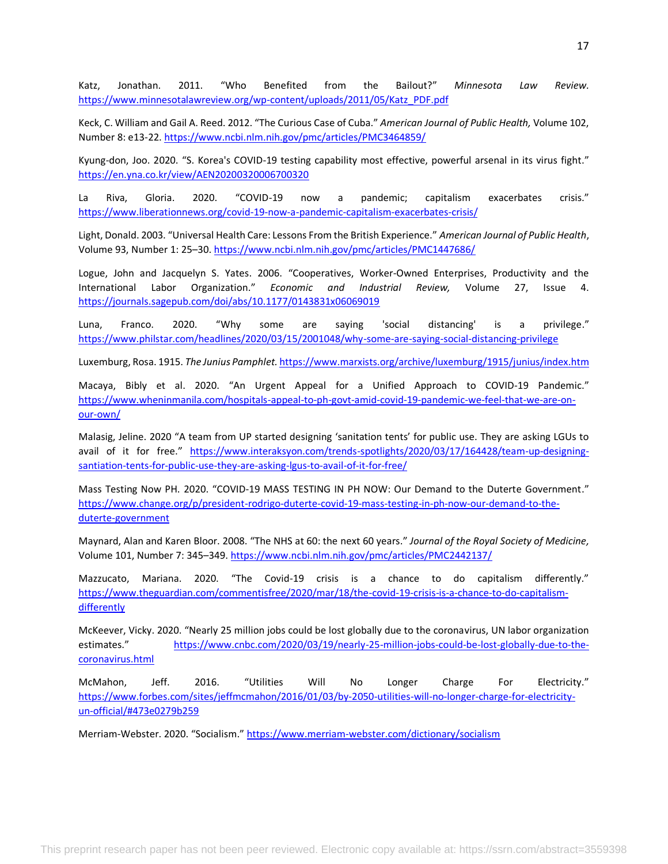Katz, Jonathan. 2011. "Who Benefited from the Bailout?" *Minnesota Law Review.*  [https://www.minnesotalawreview.org/wp-content/uploads/2011/05/Katz\\_PDF.pdf](https://www.minnesotalawreview.org/wp-content/uploads/2011/05/Katz_PDF.pdf)

Keck, C. William and Gail A. Reed. 2012. "The Curious Case of Cuba." *American Journal of Public Health,* Volume 102, Number 8: e13-22.<https://www.ncbi.nlm.nih.gov/pmc/articles/PMC3464859/>

Kyung-don, Joo. 2020. "S. Korea's COVID-19 testing capability most effective, powerful arsenal in its virus fight." <https://en.yna.co.kr/view/AEN20200320006700320>

La Riva, Gloria. 2020. "COVID-19 now a pandemic; capitalism exacerbates crisis." <https://www.liberationnews.org/covid-19-now-a-pandemic-capitalism-exacerbates-crisis/>

Light, Donald. 2003. "Universal Health Care: Lessons From the British Experience." *American Journal of Public Health*, Volume 93, Number 1: 25–30. <https://www.ncbi.nlm.nih.gov/pmc/articles/PMC1447686/>

Logue, John and Jacquelyn S. Yates. 2006. "Cooperatives, Worker-Owned Enterprises, Productivity and the International Labor Organization." *Economic and Industrial Review,* Volume 27, Issue 4. <https://journals.sagepub.com/doi/abs/10.1177/0143831x06069019>

Luna, Franco. 2020. "Why some are saying 'social distancing' is a privilege." <https://www.philstar.com/headlines/2020/03/15/2001048/why-some-are-saying-social-distancing-privilege>

Luxemburg, Rosa. 1915. *The Junius Pamphlet.* <https://www.marxists.org/archive/luxemburg/1915/junius/index.htm>

Macaya, Bibly et al. 2020. "An Urgent Appeal for a Unified Approach to COVID-19 Pandemic." [https://www.wheninmanila.com/hospitals-appeal-to-ph-govt-amid-covid-19-pandemic-we-feel-that-we-are-on](https://www.wheninmanila.com/hospitals-appeal-to-ph-govt-amid-covid-19-pandemic-we-feel-that-we-are-on-our-own/)[our-own/](https://www.wheninmanila.com/hospitals-appeal-to-ph-govt-amid-covid-19-pandemic-we-feel-that-we-are-on-our-own/)

Malasig, Jeline. 2020 "A team from UP started designing 'sanitation tents' for public use. They are asking LGUs to avail of it for free." [https://www.interaksyon.com/trends-spotlights/2020/03/17/164428/team-up-designing](https://www.interaksyon.com/trends-spotlights/2020/03/17/164428/team-up-designing-santiation-tents-for-public-use-they-are-asking-lgus-to-avail-of-it-for-free/)[santiation-tents-for-public-use-they-are-asking-lgus-to-avail-of-it-for-free/](https://www.interaksyon.com/trends-spotlights/2020/03/17/164428/team-up-designing-santiation-tents-for-public-use-they-are-asking-lgus-to-avail-of-it-for-free/)

Mass Testing Now PH. 2020. "COVID-19 MASS TESTING IN PH NOW: Our Demand to the Duterte Government." [https://www.change.org/p/president-rodrigo-duterte-covid-19-mass-testing-in-ph-now-our-demand-to-the](https://www.change.org/p/president-rodrigo-duterte-covid-19-mass-testing-in-ph-now-our-demand-to-the-duterte-government)[duterte-government](https://www.change.org/p/president-rodrigo-duterte-covid-19-mass-testing-in-ph-now-our-demand-to-the-duterte-government)

Maynard, Alan and Karen Bloor. 2008. "The NHS at 60: the next 60 years." *Journal of the Royal Society of Medicine,*  Volume 101, Number 7: 345–349. <https://www.ncbi.nlm.nih.gov/pmc/articles/PMC2442137/>

Mazzucato, Mariana. 2020. "The Covid-19 crisis is a chance to do capitalism differently." [https://www.theguardian.com/commentisfree/2020/mar/18/the-covid-19-crisis-is-a-chance-to-do-capitalism](https://www.theguardian.com/commentisfree/2020/mar/18/the-covid-19-crisis-is-a-chance-to-do-capitalism-differently)[differently](https://www.theguardian.com/commentisfree/2020/mar/18/the-covid-19-crisis-is-a-chance-to-do-capitalism-differently)

McKeever, Vicky. 2020. "Nearly 25 million jobs could be lost globally due to the coronavirus, UN labor organization estimates." [https://www.cnbc.com/2020/03/19/nearly-25-million-jobs-could-be-lost-globally-due-to-the](https://www.cnbc.com/2020/03/19/nearly-25-million-jobs-could-be-lost-globally-due-to-the-coronavirus.html)[coronavirus.html](https://www.cnbc.com/2020/03/19/nearly-25-million-jobs-could-be-lost-globally-due-to-the-coronavirus.html)

McMahon, Jeff. 2016. "Utilities Will No Longer Charge For Electricity." [https://www.forbes.com/sites/jeffmcmahon/2016/01/03/by-2050-utilities-will-no-longer-charge-for-electricity](https://www.forbes.com/sites/jeffmcmahon/2016/01/03/by-2050-utilities-will-no-longer-charge-for-electricity-un-official/#473e0279b259)[un-official/#473e0279b259](https://www.forbes.com/sites/jeffmcmahon/2016/01/03/by-2050-utilities-will-no-longer-charge-for-electricity-un-official/#473e0279b259)

Merriam-Webster. 2020. "Socialism." <https://www.merriam-webster.com/dictionary/socialism>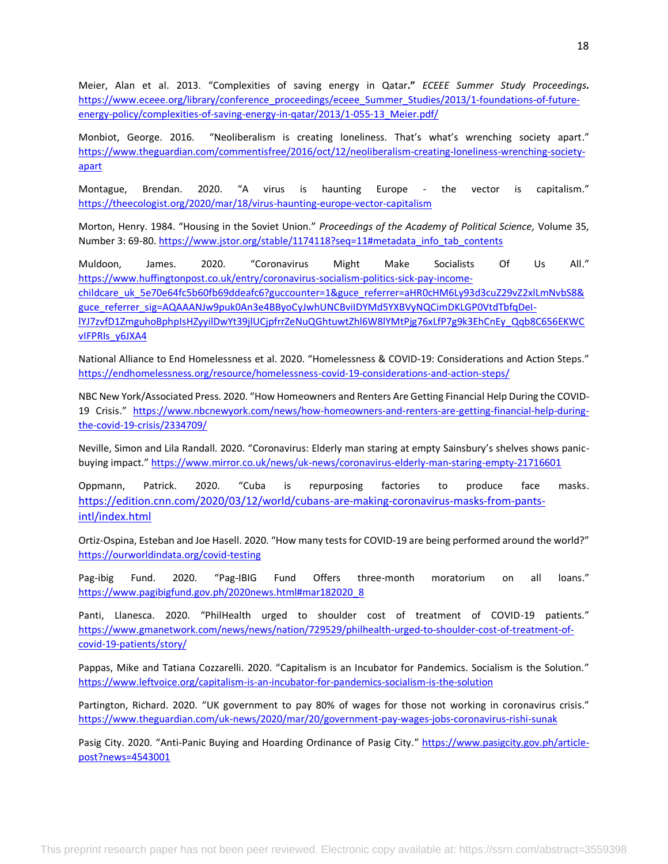Meier, Alan et al. 2013. "Complexities of saving energy in Qatar**."** *ECEEE Summer Study Proceedings.* [https://www.eceee.org/library/conference\\_proceedings/eceee\\_Summer\\_Studies/2013/1-foundations-of-future](https://www.eceee.org/library/conference_proceedings/eceee_Summer_Studies/2013/1-foundations-of-future-energy-policy/complexities-of-saving-energy-in-qatar/2013/1-055-13_Meier.pdf/)[energy-policy/complexities-of-saving-energy-in-qatar/2013/1-055-13\\_Meier.pdf/](https://www.eceee.org/library/conference_proceedings/eceee_Summer_Studies/2013/1-foundations-of-future-energy-policy/complexities-of-saving-energy-in-qatar/2013/1-055-13_Meier.pdf/)

Monbiot, George. 2016. "Neoliberalism is creating loneliness. That's what's wrenching society apart." [https://www.theguardian.com/commentisfree/2016/oct/12/neoliberalism-creating-loneliness-wrenching-society](https://www.theguardian.com/commentisfree/2016/oct/12/neoliberalism-creating-loneliness-wrenching-society-apart)[apart](https://www.theguardian.com/commentisfree/2016/oct/12/neoliberalism-creating-loneliness-wrenching-society-apart)

Montague, Brendan. 2020. "A virus is haunting Europe - the vector is capitalism." <https://theecologist.org/2020/mar/18/virus-haunting-europe-vector-capitalism>

Morton, Henry. 1984. "Housing in the Soviet Union." *Proceedings of the Academy of Political Science,* Volume 35, Number 3: 69-80. [https://www.jstor.org/stable/1174118?seq=11#metadata\\_info\\_tab\\_contents](https://www.jstor.org/stable/1174118?seq=11#metadata_info_tab_contents)

Muldoon, James. 2020. "Coronavirus Might Make Socialists Of Us All." [https://www.huffingtonpost.co.uk/entry/coronavirus-socialism-politics-sick-pay-income](https://www.huffingtonpost.co.uk/entry/coronavirus-socialism-politics-sick-pay-income-childcare_uk_5e70e64fc5b60fb69ddeafc6?guccounter=1&guce_referrer=aHR0cHM6Ly93d3cuZ29vZ2xlLmNvbS8&guce_referrer_sig=AQAAANJw9puk0An3e4BByoCyJwhUNCBviIDYMd5YXBVyNQCimDKLGP0VtdTbfqDeI-lYJ7zvfD1ZmguhoBphpIsHZyyilDwYt39jlUCjpfrrZeNuQGhtuwtZhl6W8lYMtPjg76xLfP7g9k3EhCnEy_Qqb8C656EKWCvIFPRIs_y6JXA4)[childcare\\_uk\\_5e70e64fc5b60fb69ddeafc6?guccounter=1&guce\\_referrer=aHR0cHM6Ly93d3cuZ29vZ2xlLmNvbS8&](https://www.huffingtonpost.co.uk/entry/coronavirus-socialism-politics-sick-pay-income-childcare_uk_5e70e64fc5b60fb69ddeafc6?guccounter=1&guce_referrer=aHR0cHM6Ly93d3cuZ29vZ2xlLmNvbS8&guce_referrer_sig=AQAAANJw9puk0An3e4BByoCyJwhUNCBviIDYMd5YXBVyNQCimDKLGP0VtdTbfqDeI-lYJ7zvfD1ZmguhoBphpIsHZyyilDwYt39jlUCjpfrrZeNuQGhtuwtZhl6W8lYMtPjg76xLfP7g9k3EhCnEy_Qqb8C656EKWCvIFPRIs_y6JXA4) [guce\\_referrer\\_sig=AQAAANJw9puk0An3e4BByoCyJwhUNCBviIDYMd5YXBVyNQCimDKLGP0VtdTbfqDeI](https://www.huffingtonpost.co.uk/entry/coronavirus-socialism-politics-sick-pay-income-childcare_uk_5e70e64fc5b60fb69ddeafc6?guccounter=1&guce_referrer=aHR0cHM6Ly93d3cuZ29vZ2xlLmNvbS8&guce_referrer_sig=AQAAANJw9puk0An3e4BByoCyJwhUNCBviIDYMd5YXBVyNQCimDKLGP0VtdTbfqDeI-lYJ7zvfD1ZmguhoBphpIsHZyyilDwYt39jlUCjpfrrZeNuQGhtuwtZhl6W8lYMtPjg76xLfP7g9k3EhCnEy_Qqb8C656EKWCvIFPRIs_y6JXA4)[lYJ7zvfD1ZmguhoBphpIsHZyyilDwYt39jlUCjpfrrZeNuQGhtuwtZhl6W8lYMtPjg76xLfP7g9k3EhCnEy\\_Qqb8C656EKWC](https://www.huffingtonpost.co.uk/entry/coronavirus-socialism-politics-sick-pay-income-childcare_uk_5e70e64fc5b60fb69ddeafc6?guccounter=1&guce_referrer=aHR0cHM6Ly93d3cuZ29vZ2xlLmNvbS8&guce_referrer_sig=AQAAANJw9puk0An3e4BByoCyJwhUNCBviIDYMd5YXBVyNQCimDKLGP0VtdTbfqDeI-lYJ7zvfD1ZmguhoBphpIsHZyyilDwYt39jlUCjpfrrZeNuQGhtuwtZhl6W8lYMtPjg76xLfP7g9k3EhCnEy_Qqb8C656EKWCvIFPRIs_y6JXA4) [vIFPRIs\\_y6JXA4](https://www.huffingtonpost.co.uk/entry/coronavirus-socialism-politics-sick-pay-income-childcare_uk_5e70e64fc5b60fb69ddeafc6?guccounter=1&guce_referrer=aHR0cHM6Ly93d3cuZ29vZ2xlLmNvbS8&guce_referrer_sig=AQAAANJw9puk0An3e4BByoCyJwhUNCBviIDYMd5YXBVyNQCimDKLGP0VtdTbfqDeI-lYJ7zvfD1ZmguhoBphpIsHZyyilDwYt39jlUCjpfrrZeNuQGhtuwtZhl6W8lYMtPjg76xLfP7g9k3EhCnEy_Qqb8C656EKWCvIFPRIs_y6JXA4)

National Alliance to End Homelessness et al. 2020. "Homelessness & COVID-19: Considerations and Action Steps." <https://endhomelessness.org/resource/homelessness-covid-19-considerations-and-action-steps/>

NBC New York/Associated Press. 2020. "How Homeowners and Renters Are Getting Financial Help During the COVID-19 Crisis." [https://www.nbcnewyork.com/news/how-homeowners-and-renters-are-getting-financial-help-during](https://www.nbcnewyork.com/news/how-homeowners-and-renters-are-getting-financial-help-during-the-covid-19-crisis/2334709/)[the-covid-19-crisis/2334709/](https://www.nbcnewyork.com/news/how-homeowners-and-renters-are-getting-financial-help-during-the-covid-19-crisis/2334709/)

Neville, Simon and Lila Randall. 2020. "Coronavirus: Elderly man staring at empty Sainsbury's shelves shows panicbuying impact." <https://www.mirror.co.uk/news/uk-news/coronavirus-elderly-man-staring-empty-21716601>

Oppmann, Patrick. 2020. "Cuba is repurposing factories to produce face masks. [https://edition.cnn.com/2020/03/12/world/cubans-are-making-coronavirus-masks-from-pants](https://edition.cnn.com/2020/03/12/world/cubans-are-making-coronavirus-masks-from-pants-intl/index.html)[intl/index.html](https://edition.cnn.com/2020/03/12/world/cubans-are-making-coronavirus-masks-from-pants-intl/index.html)

Ortiz-Ospina, Esteban and Joe Hasell. 2020. "How many tests for COVID-19 are being performed around the world?" <https://ourworldindata.org/covid-testing>

Pag-ibig Fund. 2020. "Pag-IBIG Fund Offers three-month moratorium on all loans." [https://www.pagibigfund.gov.ph/2020news.html#mar182020\\_8](https://www.pagibigfund.gov.ph/2020news.html#mar182020_8)

Panti, Llanesca. 2020. "PhilHealth urged to shoulder cost of treatment of COVID-19 patients." [https://www.gmanetwork.com/news/news/nation/729529/philhealth-urged-to-shoulder-cost-of-treatment-of](https://www.gmanetwork.com/news/news/nation/729529/philhealth-urged-to-shoulder-cost-of-treatment-of-covid-19-patients/story/)[covid-19-patients/story/](https://www.gmanetwork.com/news/news/nation/729529/philhealth-urged-to-shoulder-cost-of-treatment-of-covid-19-patients/story/)

Pappas, Mike and Tatiana Cozzarelli. 2020. "Capitalism is an Incubator for Pandemics. Socialism is the Solution." <https://www.leftvoice.org/capitalism-is-an-incubator-for-pandemics-socialism-is-the-solution>

Partington, Richard. 2020. "UK government to pay 80% of wages for those not working in coronavirus crisis." <https://www.theguardian.com/uk-news/2020/mar/20/government-pay-wages-jobs-coronavirus-rishi-sunak>

Pasig City. 2020. "Anti-Panic Buying and Hoarding Ordinance of Pasig City." [https://www.pasigcity.gov.ph/article](https://www.pasigcity.gov.ph/article-post?news=4543001)[post?news=4543001](https://www.pasigcity.gov.ph/article-post?news=4543001)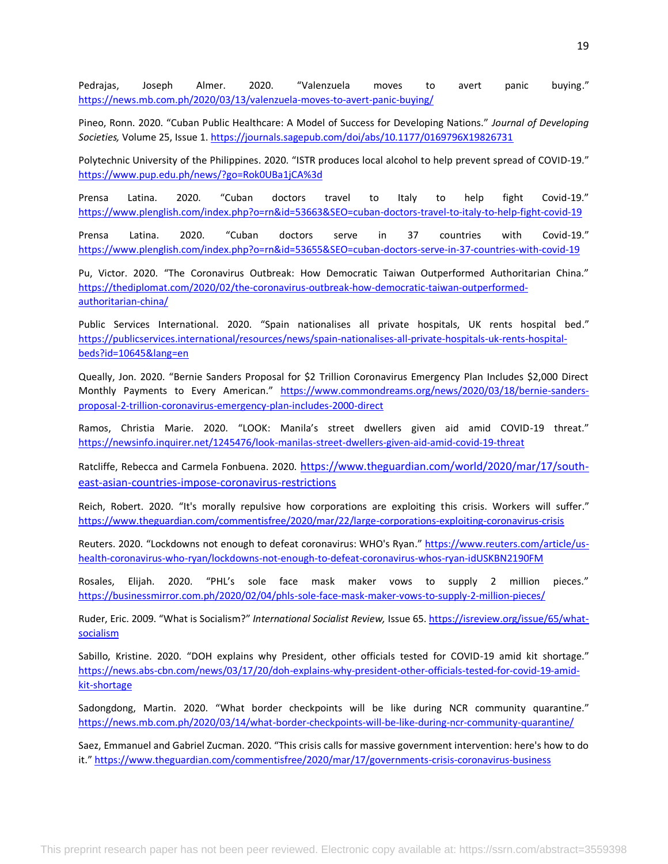Pedrajas, Joseph Almer. 2020. "Valenzuela moves to avert panic buying." <https://news.mb.com.ph/2020/03/13/valenzuela-moves-to-avert-panic-buying/>

Pineo, Ronn. 2020. "Cuban Public Healthcare: A Model of Success for Developing Nations." *Journal of Developing Societies,* Volume 25, Issue 1.<https://journals.sagepub.com/doi/abs/10.1177/0169796X19826731>

Polytechnic University of the Philippines. 2020. "ISTR produces local alcohol to help prevent spread of COVID-19." <https://www.pup.edu.ph/news/?go=Rok0UBa1jCA%3d>

Prensa Latina. 2020. "Cuban doctors travel to Italy to help fight Covid-19." <https://www.plenglish.com/index.php?o=rn&id=53663&SEO=cuban-doctors-travel-to-italy-to-help-fight-covid-19>

Prensa Latina. 2020. "Cuban doctors serve in 37 countries with Covid-19." <https://www.plenglish.com/index.php?o=rn&id=53655&SEO=cuban-doctors-serve-in-37-countries-with-covid-19>

Pu, Victor. 2020. "The Coronavirus Outbreak: How Democratic Taiwan Outperformed Authoritarian China." [https://thediplomat.com/2020/02/the-coronavirus-outbreak-how-democratic-taiwan-outperformed](https://thediplomat.com/2020/02/the-coronavirus-outbreak-how-democratic-taiwan-outperformed-authoritarian-china/)[authoritarian-china/](https://thediplomat.com/2020/02/the-coronavirus-outbreak-how-democratic-taiwan-outperformed-authoritarian-china/)

Public Services International. 2020. "Spain nationalises all private hospitals, UK rents hospital bed." [https://publicservices.international/resources/news/spain-nationalises-all-private-hospitals-uk-rents-hospital](https://publicservices.international/resources/news/spain-nationalises-all-private-hospitals-uk-rents-hospital-beds?id=10645&lang=en)[beds?id=10645&lang=en](https://publicservices.international/resources/news/spain-nationalises-all-private-hospitals-uk-rents-hospital-beds?id=10645&lang=en)

Queally, Jon. 2020. "Bernie Sanders Proposal for \$2 Trillion Coronavirus Emergency Plan Includes \$2,000 Direct Monthly Payments to Every American." [https://www.commondreams.org/news/2020/03/18/bernie-sanders](https://www.commondreams.org/news/2020/03/18/bernie-sanders-proposal-2-trillion-coronavirus-emergency-plan-includes-2000-direct)[proposal-2-trillion-coronavirus-emergency-plan-includes-2000-direct](https://www.commondreams.org/news/2020/03/18/bernie-sanders-proposal-2-trillion-coronavirus-emergency-plan-includes-2000-direct)

Ramos, Christia Marie. 2020. "LOOK: Manila's street dwellers given aid amid COVID-19 threat." <https://newsinfo.inquirer.net/1245476/look-manilas-street-dwellers-given-aid-amid-covid-19-threat>

Ratcliffe, Rebecca and Carmela Fonbuena. 2020. [https://www.theguardian.com/world/2020/mar/17/south](https://www.theguardian.com/world/2020/mar/17/south-east-asian-countries-impose-coronavirus-restrictions)[east-asian-countries-impose-coronavirus-restrictions](https://www.theguardian.com/world/2020/mar/17/south-east-asian-countries-impose-coronavirus-restrictions)

Reich, Robert. 2020. "It's morally repulsive how corporations are exploiting this crisis. Workers will suffer." <https://www.theguardian.com/commentisfree/2020/mar/22/large-corporations-exploiting-coronavirus-crisis>

Reuters. 2020. "Lockdowns not enough to defeat coronavirus: WHO's Ryan." [https://www.reuters.com/article/us](https://www.reuters.com/article/us-health-coronavirus-who-ryan/lockdowns-not-enough-to-defeat-coronavirus-whos-ryan-idUSKBN2190FM)[health-coronavirus-who-ryan/lockdowns-not-enough-to-defeat-coronavirus-whos-ryan-idUSKBN2190FM](https://www.reuters.com/article/us-health-coronavirus-who-ryan/lockdowns-not-enough-to-defeat-coronavirus-whos-ryan-idUSKBN2190FM)

Rosales, Elijah. 2020. "PHL's sole face mask maker vows to supply 2 million pieces." <https://businessmirror.com.ph/2020/02/04/phls-sole-face-mask-maker-vows-to-supply-2-million-pieces/>

Ruder, Eric. 2009. "What is Socialism?" *International Socialist Review,* Issue 65. [https://isreview.org/issue/65/what](https://isreview.org/issue/65/what-socialism)[socialism](https://isreview.org/issue/65/what-socialism)

Sabillo, Kristine. 2020. "DOH explains why President, other officials tested for COVID-19 amid kit shortage." [https://news.abs-cbn.com/news/03/17/20/doh-explains-why-president-other-officials-tested-for-covid-19-amid](https://news.abs-cbn.com/news/03/17/20/doh-explains-why-president-other-officials-tested-for-covid-19-amid-kit-shortage)[kit-shortage](https://news.abs-cbn.com/news/03/17/20/doh-explains-why-president-other-officials-tested-for-covid-19-amid-kit-shortage)

Sadongdong, Martin. 2020. "What border checkpoints will be like during NCR community quarantine." <https://news.mb.com.ph/2020/03/14/what-border-checkpoints-will-be-like-during-ncr-community-quarantine/>

Saez, Emmanuel and Gabriel Zucman. 2020. "This crisis calls for massive government intervention: here's how to do it." <https://www.theguardian.com/commentisfree/2020/mar/17/governments-crisis-coronavirus-business>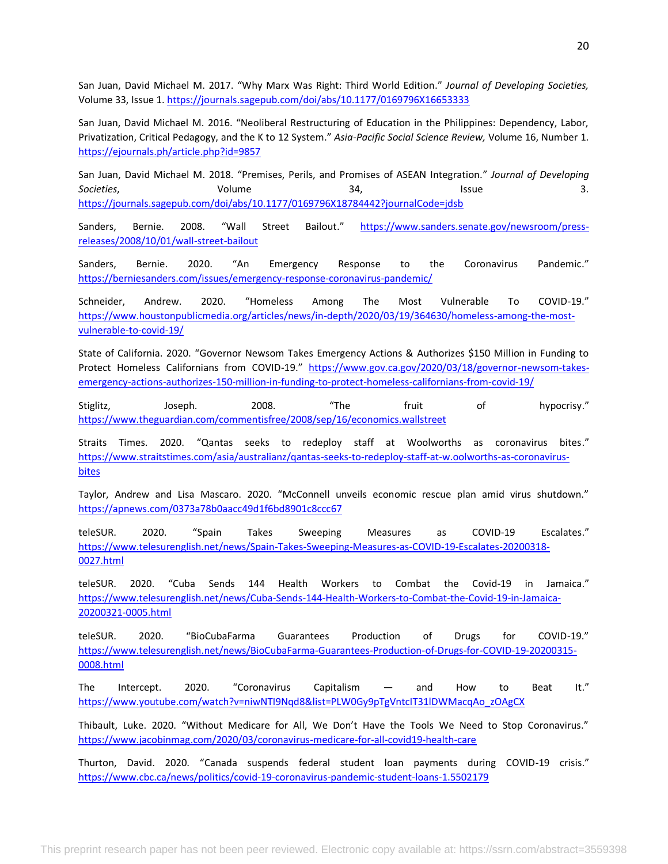San Juan, David Michael M. 2017. "Why Marx Was Right: Third World Edition." *Journal of Developing Societies,*  Volume 33, Issue 1.<https://journals.sagepub.com/doi/abs/10.1177/0169796X16653333>

San Juan, David Michael M. 2016. "Neoliberal Restructuring of Education in the Philippines: Dependency, Labor, Privatization, Critical Pedagogy, and the K to 12 System." *Asia-Pacific Social Science Review,* Volume 16, Number 1. <https://ejournals.ph/article.php?id=9857>

San Juan, David Michael M. 2018. "Premises, Perils, and Promises of ASEAN Integration." *Journal of Developing Societies*, Volume 34, Issue 3. <https://journals.sagepub.com/doi/abs/10.1177/0169796X18784442?journalCode=jdsb>

Sanders, Bernie. 2008. "Wall Street Bailout." [https://www.sanders.senate.gov/newsroom/press](https://www.sanders.senate.gov/newsroom/press-releases/2008/10/01/wall-street-bailout)[releases/2008/10/01/wall-street-bailout](https://www.sanders.senate.gov/newsroom/press-releases/2008/10/01/wall-street-bailout)

Sanders, Bernie. 2020. "An Emergency Response to the Coronavirus Pandemic." <https://berniesanders.com/issues/emergency-response-coronavirus-pandemic/>

Schneider, Andrew. 2020. "Homeless Among The Most Vulnerable To COVID-19." [https://www.houstonpublicmedia.org/articles/news/in-depth/2020/03/19/364630/homeless-among-the-most](https://www.houstonpublicmedia.org/articles/news/in-depth/2020/03/19/364630/homeless-among-the-most-vulnerable-to-covid-19/)[vulnerable-to-covid-19/](https://www.houstonpublicmedia.org/articles/news/in-depth/2020/03/19/364630/homeless-among-the-most-vulnerable-to-covid-19/)

State of California. 2020. "Governor Newsom Takes Emergency Actions & Authorizes \$150 Million in Funding to Protect Homeless Californians from COVID-19." [https://www.gov.ca.gov/2020/03/18/governor-newsom-takes](https://www.gov.ca.gov/2020/03/18/governor-newsom-takes-emergency-actions-authorizes-150-million-in-funding-to-protect-homeless-californians-from-covid-19/)[emergency-actions-authorizes-150-million-in-funding-to-protect-homeless-californians-from-covid-19/](https://www.gov.ca.gov/2020/03/18/governor-newsom-takes-emergency-actions-authorizes-150-million-in-funding-to-protect-homeless-californians-from-covid-19/)

Stiglitz, Joseph. 2008. "The fruit of hypocrisy." <https://www.theguardian.com/commentisfree/2008/sep/16/economics.wallstreet>

Straits Times. 2020. "Qantas seeks to redeploy staff at Woolworths as coronavirus bites." [https://www.straitstimes.com/asia/australianz/qantas-seeks-to-redeploy-staff-at-w.oolworths-as-coronavirus](https://www.straitstimes.com/asia/australianz/qantas-seeks-to-redeploy-staff-at-w.oolworths-as-coronavirus-bites)[bites](https://www.straitstimes.com/asia/australianz/qantas-seeks-to-redeploy-staff-at-w.oolworths-as-coronavirus-bites)

Taylor, Andrew and Lisa Mascaro. 2020. "McConnell unveils economic rescue plan amid virus shutdown." <https://apnews.com/0373a78b0aacc49d1f6bd8901c8ccc67>

teleSUR. 2020. "Spain Takes Sweeping Measures as COVID-19 Escalates." [https://www.telesurenglish.net/news/Spain-Takes-Sweeping-Measures-as-COVID-19-Escalates-20200318-](https://www.telesurenglish.net/news/Spain-Takes-Sweeping-Measures-as-COVID-19-Escalates-20200318-0027.html) [0027.html](https://www.telesurenglish.net/news/Spain-Takes-Sweeping-Measures-as-COVID-19-Escalates-20200318-0027.html)

teleSUR. 2020. "Cuba Sends 144 Health Workers to Combat the Covid-19 in Jamaica." [https://www.telesurenglish.net/news/Cuba-Sends-144-Health-Workers-to-Combat-the-Covid-19-in-Jamaica-](https://www.telesurenglish.net/news/Cuba-Sends-144-Health-Workers-to-Combat-the-Covid-19-in-Jamaica-20200321-0005.html)[20200321-0005.html](https://www.telesurenglish.net/news/Cuba-Sends-144-Health-Workers-to-Combat-the-Covid-19-in-Jamaica-20200321-0005.html)

teleSUR. 2020. "BioCubaFarma Guarantees Production of Drugs for COVID-19." [https://www.telesurenglish.net/news/BioCubaFarma-Guarantees-Production-of-Drugs-for-COVID-19-20200315-](https://www.telesurenglish.net/news/BioCubaFarma-Guarantees-Production-of-Drugs-for-COVID-19-20200315-0008.html) [0008.html](https://www.telesurenglish.net/news/BioCubaFarma-Guarantees-Production-of-Drugs-for-COVID-19-20200315-0008.html)

The Intercept. 2020. "Coronavirus Capitalism — and How to Beat It." [https://www.youtube.com/watch?v=niwNTI9Nqd8&list=PLW0Gy9pTgVntcIT31lDWMacqAo\\_zOAgCX](https://www.youtube.com/watch?v=niwNTI9Nqd8&list=PLW0Gy9pTgVntcIT31lDWMacqAo_zOAgCX)

Thibault, Luke. 2020. "Without Medicare for All, We Don't Have the Tools We Need to Stop Coronavirus." <https://www.jacobinmag.com/2020/03/coronavirus-medicare-for-all-covid19-health-care>

Thurton, David. 2020. "Canada suspends federal student loan payments during COVID-19 crisis." <https://www.cbc.ca/news/politics/covid-19-coronavirus-pandemic-student-loans-1.5502179>